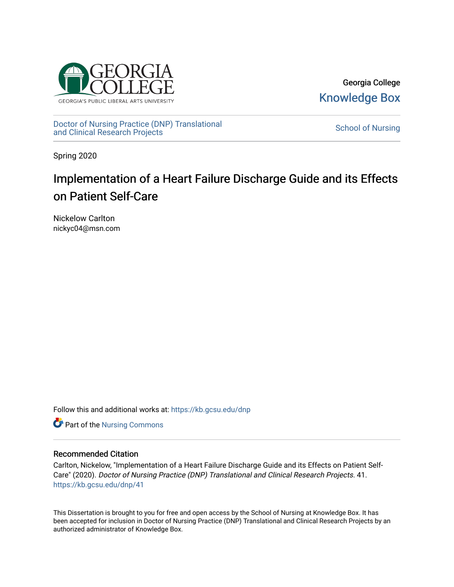

Georgia College [Knowledge Box](https://kb.gcsu.edu/) 

[Doctor of Nursing Practice \(DNP\) Translational](https://kb.gcsu.edu/dnp)  Doctor of Nursing Practice (DNP) Translational control of Nursing [School of Nursing](https://kb.gcsu.edu/snc) and Clinical Research Projects

Spring 2020

# Implementation of a Heart Failure Discharge Guide and its Effects on Patient Self-Care

Nickelow Carlton nickyc04@msn.com

Follow this and additional works at: [https://kb.gcsu.edu/dnp](https://kb.gcsu.edu/dnp?utm_source=kb.gcsu.edu%2Fdnp%2F41&utm_medium=PDF&utm_campaign=PDFCoverPages) 

Part of the [Nursing Commons](http://network.bepress.com/hgg/discipline/718?utm_source=kb.gcsu.edu%2Fdnp%2F41&utm_medium=PDF&utm_campaign=PDFCoverPages) 

#### Recommended Citation

Carlton, Nickelow, "Implementation of a Heart Failure Discharge Guide and its Effects on Patient Self-Care" (2020). Doctor of Nursing Practice (DNP) Translational and Clinical Research Projects. 41. [https://kb.gcsu.edu/dnp/41](https://kb.gcsu.edu/dnp/41?utm_source=kb.gcsu.edu%2Fdnp%2F41&utm_medium=PDF&utm_campaign=PDFCoverPages) 

This Dissertation is brought to you for free and open access by the School of Nursing at Knowledge Box. It has been accepted for inclusion in Doctor of Nursing Practice (DNP) Translational and Clinical Research Projects by an authorized administrator of Knowledge Box.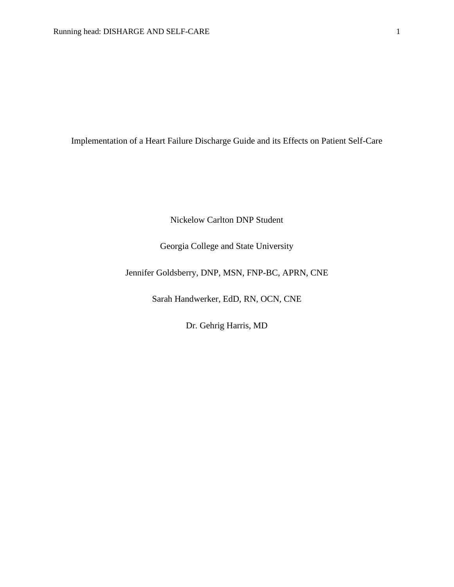Implementation of a Heart Failure Discharge Guide and its Effects on Patient Self-Care

Nickelow Carlton DNP Student

Georgia College and State University

Jennifer Goldsberry, DNP, MSN, FNP-BC, APRN, CNE

Sarah Handwerker, EdD, RN, OCN, CNE

Dr. Gehrig Harris, MD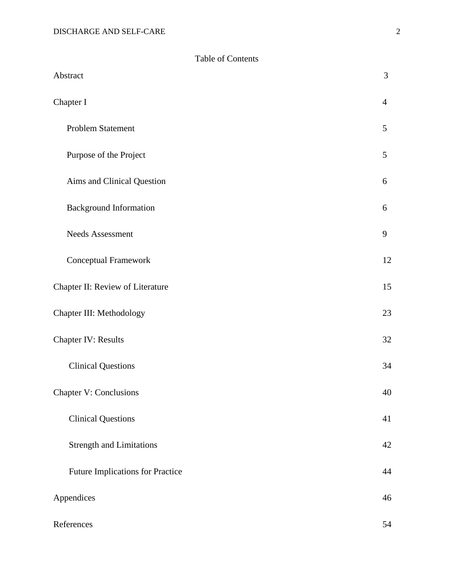|  | <b>Table of Contents</b> |
|--|--------------------------|
|--|--------------------------|

| Abstract                                | 3              |
|-----------------------------------------|----------------|
| Chapter I                               | $\overline{4}$ |
| Problem Statement                       | 5              |
| Purpose of the Project                  | 5              |
| Aims and Clinical Question              | 6              |
| <b>Background Information</b>           | 6              |
| <b>Needs Assessment</b>                 | 9              |
| Conceptual Framework                    | 12             |
| Chapter II: Review of Literature        | 15             |
| Chapter III: Methodology                | 23             |
| <b>Chapter IV: Results</b>              | 32             |
| <b>Clinical Questions</b>               | 34             |
| <b>Chapter V: Conclusions</b>           | 40             |
| <b>Clinical Questions</b>               | 41             |
| <b>Strength and Limitations</b>         | 42             |
| <b>Future Implications for Practice</b> | 44             |
| Appendices                              | 46             |
| References                              | 54             |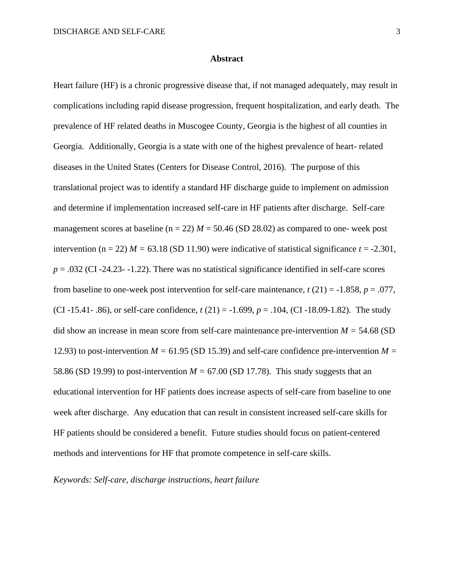#### **Abstract**

Heart failure (HF) is a chronic progressive disease that, if not managed adequately, may result in complications including rapid disease progression, frequent hospitalization, and early death. The prevalence of HF related deaths in Muscogee County, Georgia is the highest of all counties in Georgia. Additionally, Georgia is a state with one of the highest prevalence of heart- related diseases in the United States (Centers for Disease Control, 2016). The purpose of this translational project was to identify a standard HF discharge guide to implement on admission and determine if implementation increased self-care in HF patients after discharge. Self-care management scores at baseline ( $n = 22$ )  $M = 50.46$  (SD 28.02) as compared to one- week post intervention (n = 22)  $M = 63.18$  (SD 11.90) were indicative of statistical significance  $t = -2.301$ ,  $p = .032$  (CI -24.23- -1.22). There was no statistical significance identified in self-care scores from baseline to one-week post intervention for self-care maintenance,  $t(21) = -1.858$ ,  $p = .077$ , (CI -15.41- .86), or self-care confidence, *t* (21) = -1.699, *p* = .104, (CI -18.09-1.82). The study did show an increase in mean score from self-care maintenance pre-intervention *M =* 54.68 (SD 12.93) to post-intervention  $M = 61.95$  (SD 15.39) and self-care confidence pre-intervention  $M =$ 58.86 (SD 19.99) to post-intervention  $M = 67.00$  (SD 17.78). This study suggests that an educational intervention for HF patients does increase aspects of self-care from baseline to one week after discharge. Any education that can result in consistent increased self-care skills for HF patients should be considered a benefit. Future studies should focus on patient-centered methods and interventions for HF that promote competence in self-care skills.

*Keywords: Self-care, discharge instructions, heart failure*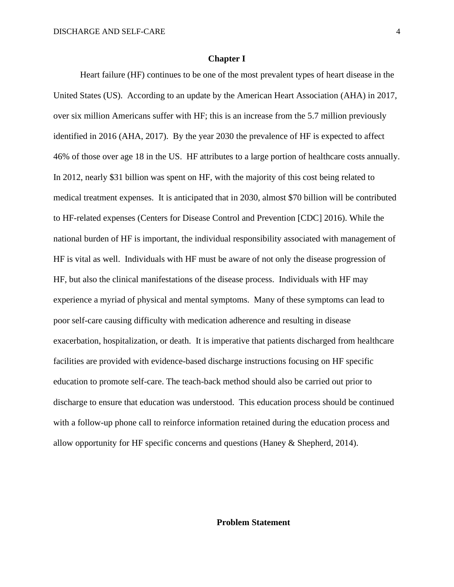#### **Chapter I**

Heart failure (HF) continues to be one of the most prevalent types of heart disease in the United States (US). According to an update by the American Heart Association (AHA) in 2017, over six million Americans suffer with HF; this is an increase from the 5.7 million previously identified in 2016 (AHA, 2017). By the year 2030 the prevalence of HF is expected to affect 46% of those over age 18 in the US. HF attributes to a large portion of healthcare costs annually. In 2012, nearly \$31 billion was spent on HF, with the majority of this cost being related to medical treatment expenses. It is anticipated that in 2030, almost \$70 billion will be contributed to HF-related expenses (Centers for Disease Control and Prevention [CDC] 2016). While the national burden of HF is important, the individual responsibility associated with management of HF is vital as well. Individuals with HF must be aware of not only the disease progression of HF, but also the clinical manifestations of the disease process. Individuals with HF may experience a myriad of physical and mental symptoms. Many of these symptoms can lead to poor self-care causing difficulty with medication adherence and resulting in disease exacerbation, hospitalization, or death. It is imperative that patients discharged from healthcare facilities are provided with evidence-based discharge instructions focusing on HF specific education to promote self-care. The teach-back method should also be carried out prior to discharge to ensure that education was understood. This education process should be continued with a follow-up phone call to reinforce information retained during the education process and allow opportunity for HF specific concerns and questions (Haney & Shepherd, 2014).

## **Problem Statement**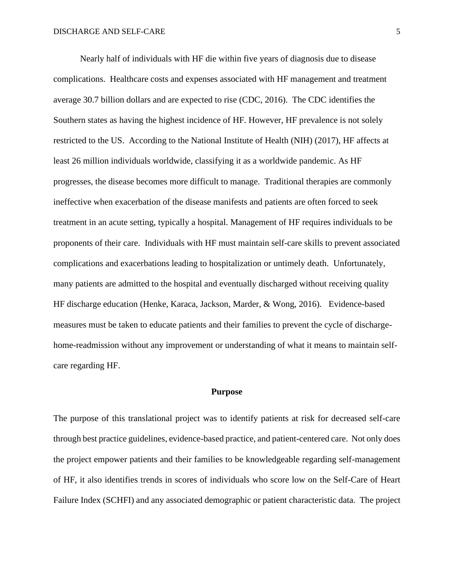Nearly half of individuals with HF die within five years of diagnosis due to disease complications. Healthcare costs and expenses associated with HF management and treatment average 30.7 billion dollars and are expected to rise (CDC, 2016). The CDC identifies the Southern states as having the highest incidence of HF. However, HF prevalence is not solely restricted to the US. According to the National Institute of Health (NIH) (2017), HF affects at least 26 million individuals worldwide, classifying it as a worldwide pandemic. As HF progresses, the disease becomes more difficult to manage. Traditional therapies are commonly ineffective when exacerbation of the disease manifests and patients are often forced to seek treatment in an acute setting, typically a hospital. Management of HF requires individuals to be proponents of their care. Individuals with HF must maintain self-care skills to prevent associated complications and exacerbations leading to hospitalization or untimely death. Unfortunately, many patients are admitted to the hospital and eventually discharged without receiving quality HF discharge education (Henke, Karaca, Jackson, Marder, & Wong, 2016). Evidence-based measures must be taken to educate patients and their families to prevent the cycle of dischargehome-readmission without any improvement or understanding of what it means to maintain selfcare regarding HF.

#### **Purpose**

The purpose of this translational project was to identify patients at risk for decreased self-care through best practice guidelines, evidence-based practice, and patient-centered care. Not only does the project empower patients and their families to be knowledgeable regarding self-management of HF, it also identifies trends in scores of individuals who score low on the Self-Care of Heart Failure Index (SCHFI) and any associated demographic or patient characteristic data. The project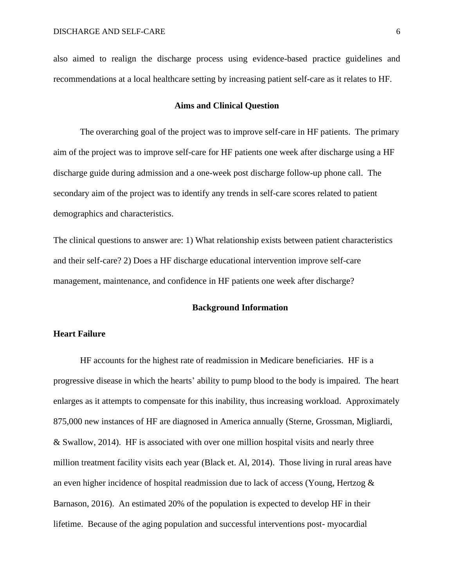also aimed to realign the discharge process using evidence-based practice guidelines and recommendations at a local healthcare setting by increasing patient self-care as it relates to HF.

#### **Aims and Clinical Question**

The overarching goal of the project was to improve self-care in HF patients. The primary aim of the project was to improve self-care for HF patients one week after discharge using a HF discharge guide during admission and a one-week post discharge follow-up phone call. The secondary aim of the project was to identify any trends in self-care scores related to patient demographics and characteristics.

The clinical questions to answer are: 1) What relationship exists between patient characteristics and their self-care? 2) Does a HF discharge educational intervention improve self-care management, maintenance, and confidence in HF patients one week after discharge?

#### **Background Information**

#### **Heart Failure**

HF accounts for the highest rate of readmission in Medicare beneficiaries. HF is a progressive disease in which the hearts' ability to pump blood to the body is impaired. The heart enlarges as it attempts to compensate for this inability, thus increasing workload. Approximately 875,000 new instances of HF are diagnosed in America annually (Sterne, Grossman, Migliardi, & Swallow, 2014). HF is associated with over one million hospital visits and nearly three million treatment facility visits each year (Black et. Al, 2014). Those living in rural areas have an even higher incidence of hospital readmission due to lack of access (Young, Hertzog & Barnason, 2016). An estimated 20% of the population is expected to develop HF in their lifetime. Because of the aging population and successful interventions post- myocardial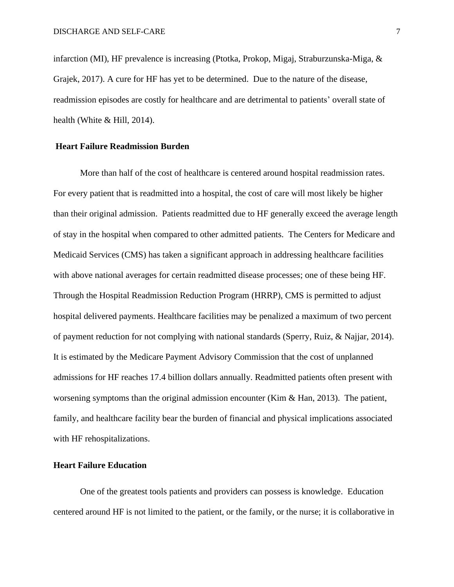infarction (MI), HF prevalence is increasing (Ptotka, Prokop, Migaj, Straburzunska-Miga, & Grajek, 2017). A cure for HF has yet to be determined. Due to the nature of the disease, readmission episodes are costly for healthcare and are detrimental to patients' overall state of health (White & Hill, 2014).

## **Heart Failure Readmission Burden**

More than half of the cost of healthcare is centered around hospital readmission rates. For every patient that is readmitted into a hospital, the cost of care will most likely be higher than their original admission. Patients readmitted due to HF generally exceed the average length of stay in the hospital when compared to other admitted patients. The Centers for Medicare and Medicaid Services (CMS) has taken a significant approach in addressing healthcare facilities with above national averages for certain readmitted disease processes; one of these being HF. Through the Hospital Readmission Reduction Program (HRRP), CMS is permitted to adjust hospital delivered payments. Healthcare facilities may be penalized a maximum of two percent of payment reduction for not complying with national standards (Sperry, Ruiz, & Najjar, 2014). It is estimated by the Medicare Payment Advisory Commission that the cost of unplanned admissions for HF reaches 17.4 billion dollars annually. Readmitted patients often present with worsening symptoms than the original admission encounter (Kim & Han, 2013). The patient, family, and healthcare facility bear the burden of financial and physical implications associated with HF rehospitalizations.

## **Heart Failure Education**

One of the greatest tools patients and providers can possess is knowledge. Education centered around HF is not limited to the patient, or the family, or the nurse; it is collaborative in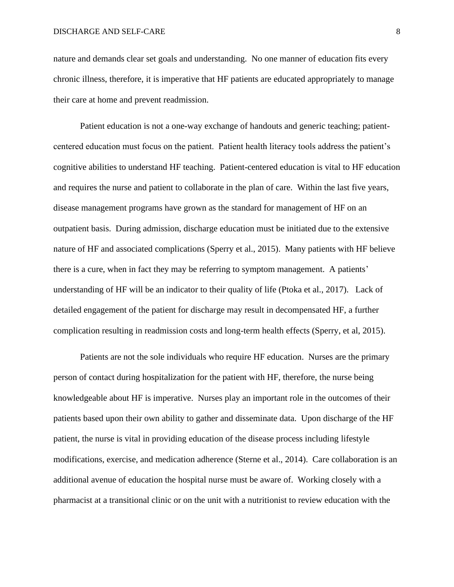nature and demands clear set goals and understanding. No one manner of education fits every chronic illness, therefore, it is imperative that HF patients are educated appropriately to manage their care at home and prevent readmission.

Patient education is not a one-way exchange of handouts and generic teaching; patientcentered education must focus on the patient. Patient health literacy tools address the patient's cognitive abilities to understand HF teaching. Patient-centered education is vital to HF education and requires the nurse and patient to collaborate in the plan of care. Within the last five years, disease management programs have grown as the standard for management of HF on an outpatient basis. During admission, discharge education must be initiated due to the extensive nature of HF and associated complications (Sperry et al., 2015). Many patients with HF believe there is a cure, when in fact they may be referring to symptom management. A patients' understanding of HF will be an indicator to their quality of life (Ptoka et al., 2017). Lack of detailed engagement of the patient for discharge may result in decompensated HF, a further complication resulting in readmission costs and long-term health effects (Sperry, et al, 2015).

Patients are not the sole individuals who require HF education. Nurses are the primary person of contact during hospitalization for the patient with HF, therefore, the nurse being knowledgeable about HF is imperative. Nurses play an important role in the outcomes of their patients based upon their own ability to gather and disseminate data. Upon discharge of the HF patient, the nurse is vital in providing education of the disease process including lifestyle modifications, exercise, and medication adherence (Sterne et al., 2014). Care collaboration is an additional avenue of education the hospital nurse must be aware of. Working closely with a pharmacist at a transitional clinic or on the unit with a nutritionist to review education with the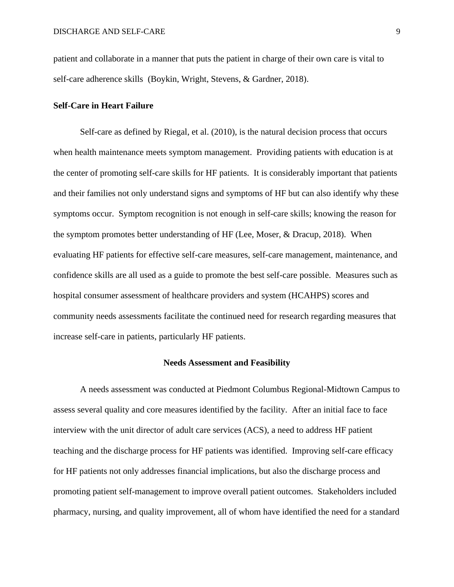patient and collaborate in a manner that puts the patient in charge of their own care is vital to self-care adherence skills (Boykin, Wright, Stevens, & Gardner, 2018).

#### **Self-Care in Heart Failure**

Self-care as defined by Riegal, et al. (2010), is the natural decision process that occurs when health maintenance meets symptom management. Providing patients with education is at the center of promoting self-care skills for HF patients. It is considerably important that patients and their families not only understand signs and symptoms of HF but can also identify why these symptoms occur. Symptom recognition is not enough in self-care skills; knowing the reason for the symptom promotes better understanding of HF (Lee, Moser, & Dracup, 2018). When evaluating HF patients for effective self-care measures, self-care management, maintenance, and confidence skills are all used as a guide to promote the best self-care possible. Measures such as hospital consumer assessment of healthcare providers and system (HCAHPS) scores and community needs assessments facilitate the continued need for research regarding measures that increase self-care in patients, particularly HF patients.

#### **Needs Assessment and Feasibility**

A needs assessment was conducted at Piedmont Columbus Regional-Midtown Campus to assess several quality and core measures identified by the facility. After an initial face to face interview with the unit director of adult care services (ACS), a need to address HF patient teaching and the discharge process for HF patients was identified. Improving self-care efficacy for HF patients not only addresses financial implications, but also the discharge process and promoting patient self-management to improve overall patient outcomes. Stakeholders included pharmacy, nursing, and quality improvement, all of whom have identified the need for a standard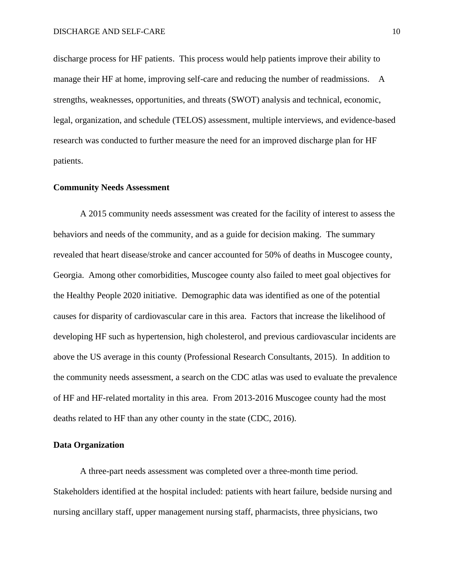discharge process for HF patients. This process would help patients improve their ability to manage their HF at home, improving self-care and reducing the number of readmissions. A strengths, weaknesses, opportunities, and threats (SWOT) analysis and technical, economic, legal, organization, and schedule (TELOS) assessment, multiple interviews, and evidence-based research was conducted to further measure the need for an improved discharge plan for HF patients.

#### **Community Needs Assessment**

A 2015 community needs assessment was created for the facility of interest to assess the behaviors and needs of the community, and as a guide for decision making. The summary revealed that heart disease/stroke and cancer accounted for 50% of deaths in Muscogee county, Georgia. Among other comorbidities, Muscogee county also failed to meet goal objectives for the Healthy People 2020 initiative. Demographic data was identified as one of the potential causes for disparity of cardiovascular care in this area. Factors that increase the likelihood of developing HF such as hypertension, high cholesterol, and previous cardiovascular incidents are above the US average in this county (Professional Research Consultants, 2015). In addition to the community needs assessment, a search on the CDC atlas was used to evaluate the prevalence of HF and HF-related mortality in this area. From 2013-2016 Muscogee county had the most deaths related to HF than any other county in the state (CDC, 2016).

#### **Data Organization**

A three-part needs assessment was completed over a three-month time period. Stakeholders identified at the hospital included: patients with heart failure, bedside nursing and nursing ancillary staff, upper management nursing staff, pharmacists, three physicians, two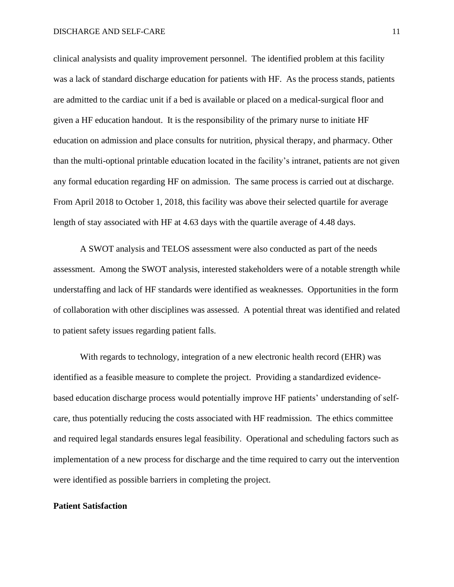clinical analysists and quality improvement personnel. The identified problem at this facility was a lack of standard discharge education for patients with HF. As the process stands, patients are admitted to the cardiac unit if a bed is available or placed on a medical-surgical floor and given a HF education handout. It is the responsibility of the primary nurse to initiate HF education on admission and place consults for nutrition, physical therapy, and pharmacy. Other than the multi-optional printable education located in the facility's intranet, patients are not given any formal education regarding HF on admission. The same process is carried out at discharge. From April 2018 to October 1, 2018, this facility was above their selected quartile for average length of stay associated with HF at 4.63 days with the quartile average of 4.48 days.

A SWOT analysis and TELOS assessment were also conducted as part of the needs assessment. Among the SWOT analysis, interested stakeholders were of a notable strength while understaffing and lack of HF standards were identified as weaknesses. Opportunities in the form of collaboration with other disciplines was assessed. A potential threat was identified and related to patient safety issues regarding patient falls.

With regards to technology, integration of a new electronic health record (EHR) was identified as a feasible measure to complete the project. Providing a standardized evidencebased education discharge process would potentially improve HF patients' understanding of selfcare, thus potentially reducing the costs associated with HF readmission. The ethics committee and required legal standards ensures legal feasibility. Operational and scheduling factors such as implementation of a new process for discharge and the time required to carry out the intervention were identified as possible barriers in completing the project.

#### **Patient Satisfaction**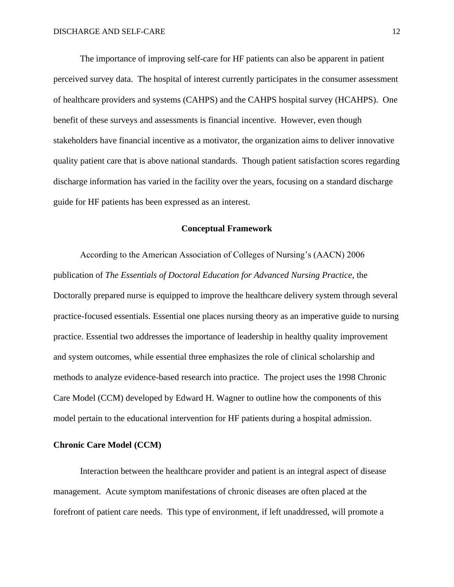The importance of improving self-care for HF patients can also be apparent in patient perceived survey data. The hospital of interest currently participates in the consumer assessment of healthcare providers and systems (CAHPS) and the CAHPS hospital survey (HCAHPS). One benefit of these surveys and assessments is financial incentive. However, even though stakeholders have financial incentive as a motivator, the organization aims to deliver innovative quality patient care that is above national standards. Though patient satisfaction scores regarding discharge information has varied in the facility over the years, focusing on a standard discharge guide for HF patients has been expressed as an interest.

## **Conceptual Framework**

According to the American Association of Colleges of Nursing's (AACN) 2006 publication of *The Essentials of Doctoral Education for Advanced Nursing Practice*, the Doctorally prepared nurse is equipped to improve the healthcare delivery system through several practice-focused essentials. Essential one places nursing theory as an imperative guide to nursing practice. Essential two addresses the importance of leadership in healthy quality improvement and system outcomes, while essential three emphasizes the role of clinical scholarship and methods to analyze evidence-based research into practice. The project uses the 1998 Chronic Care Model (CCM) developed by Edward H. Wagner to outline how the components of this model pertain to the educational intervention for HF patients during a hospital admission.

#### **Chronic Care Model (CCM)**

Interaction between the healthcare provider and patient is an integral aspect of disease management. Acute symptom manifestations of chronic diseases are often placed at the forefront of patient care needs. This type of environment, if left unaddressed, will promote a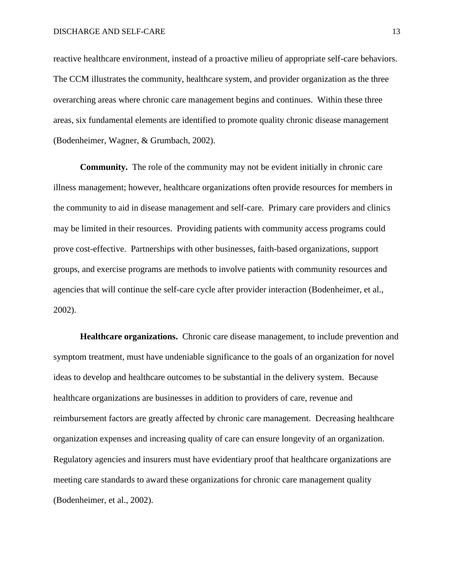reactive healthcare environment, instead of a proactive milieu of appropriate self-care behaviors. The CCM illustrates the community, healthcare system, and provider organization as the three overarching areas where chronic care management begins and continues. Within these three areas, six fundamental elements are identified to promote quality chronic disease management (Bodenheimer, Wagner, & Grumbach, 2002).

**Community.** The role of the community may not be evident initially in chronic care illness management; however, healthcare organizations often provide resources for members in the community to aid in disease management and self-care. Primary care providers and clinics may be limited in their resources. Providing patients with community access programs could prove cost-effective. Partnerships with other businesses, faith-based organizations, support groups, and exercise programs are methods to involve patients with community resources and agencies that will continue the self-care cycle after provider interaction (Bodenheimer, et al., 2002).

**Healthcare organizations.** Chronic care disease management, to include prevention and symptom treatment, must have undeniable significance to the goals of an organization for novel ideas to develop and healthcare outcomes to be substantial in the delivery system. Because healthcare organizations are businesses in addition to providers of care, revenue and reimbursement factors are greatly affected by chronic care management. Decreasing healthcare organization expenses and increasing quality of care can ensure longevity of an organization. Regulatory agencies and insurers must have evidentiary proof that healthcare organizations are meeting care standards to award these organizations for chronic care management quality (Bodenheimer, et al., 2002).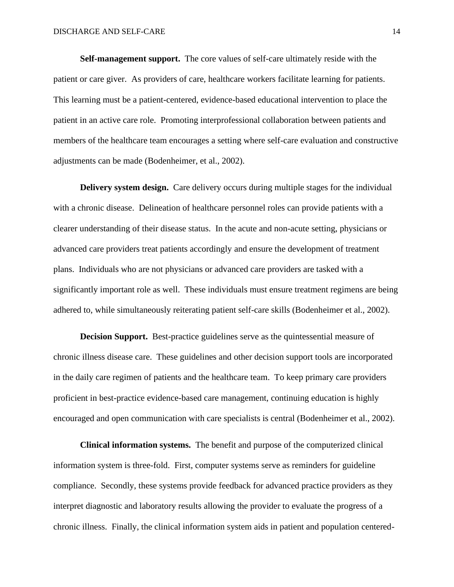**Self-management support.** The core values of self-care ultimately reside with the patient or care giver. As providers of care, healthcare workers facilitate learning for patients. This learning must be a patient-centered, evidence-based educational intervention to place the patient in an active care role. Promoting interprofessional collaboration between patients and members of the healthcare team encourages a setting where self-care evaluation and constructive adjustments can be made (Bodenheimer, et al., 2002).

**Delivery system design.** Care delivery occurs during multiple stages for the individual with a chronic disease. Delineation of healthcare personnel roles can provide patients with a clearer understanding of their disease status. In the acute and non-acute setting, physicians or advanced care providers treat patients accordingly and ensure the development of treatment plans. Individuals who are not physicians or advanced care providers are tasked with a significantly important role as well. These individuals must ensure treatment regimens are being adhered to, while simultaneously reiterating patient self-care skills (Bodenheimer et al., 2002).

**Decision Support.** Best-practice guidelines serve as the quintessential measure of chronic illness disease care. These guidelines and other decision support tools are incorporated in the daily care regimen of patients and the healthcare team. To keep primary care providers proficient in best-practice evidence-based care management, continuing education is highly encouraged and open communication with care specialists is central (Bodenheimer et al., 2002).

**Clinical information systems.** The benefit and purpose of the computerized clinical information system is three-fold. First, computer systems serve as reminders for guideline compliance. Secondly, these systems provide feedback for advanced practice providers as they interpret diagnostic and laboratory results allowing the provider to evaluate the progress of a chronic illness. Finally, the clinical information system aids in patient and population centered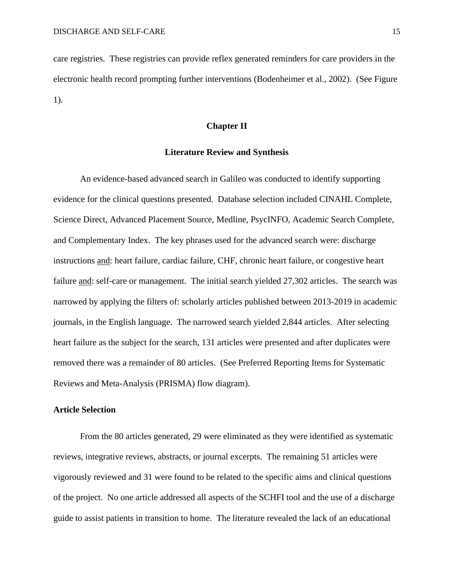care registries. These registries can provide reflex generated reminders for care providers in the electronic health record prompting further interventions (Bodenheimer et al., 2002). (See Figure 1).

#### **Chapter II**

#### **Literature Review and Synthesis**

An evidence-based advanced search in Galileo was conducted to identify supporting evidence for the clinical questions presented. Database selection included CINAHL Complete, Science Direct, Advanced Placement Source, Medline, PsycINFO, Academic Search Complete, and Complementary Index. The key phrases used for the advanced search were: discharge instructions and: heart failure, cardiac failure, CHF, chronic heart failure, or congestive heart failure and: self-care or management. The initial search yielded 27,302 articles. The search was narrowed by applying the filters of: scholarly articles published between 2013-2019 in academic journals, in the English language. The narrowed search yielded 2,844 articles. After selecting heart failure as the subject for the search, 131 articles were presented and after duplicates were removed there was a remainder of 80 articles. (See Preferred Reporting Items for Systematic Reviews and Meta-Analysis (PRISMA) flow diagram).

#### **Article Selection**

From the 80 articles generated, 29 were eliminated as they were identified as systematic reviews, integrative reviews, abstracts, or journal excerpts. The remaining 51 articles were vigorously reviewed and 31 were found to be related to the specific aims and clinical questions of the project. No one article addressed all aspects of the SCHFI tool and the use of a discharge guide to assist patients in transition to home. The literature revealed the lack of an educational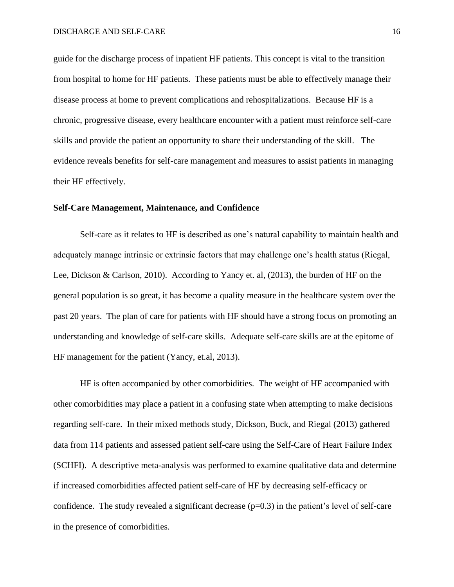guide for the discharge process of inpatient HF patients. This concept is vital to the transition from hospital to home for HF patients. These patients must be able to effectively manage their disease process at home to prevent complications and rehospitalizations. Because HF is a chronic, progressive disease, every healthcare encounter with a patient must reinforce self-care skills and provide the patient an opportunity to share their understanding of the skill. The evidence reveals benefits for self-care management and measures to assist patients in managing their HF effectively.

#### **Self-Care Management, Maintenance, and Confidence**

Self-care as it relates to HF is described as one's natural capability to maintain health and adequately manage intrinsic or extrinsic factors that may challenge one's health status (Riegal, Lee, Dickson & Carlson, 2010). According to Yancy et. al, (2013), the burden of HF on the general population is so great, it has become a quality measure in the healthcare system over the past 20 years. The plan of care for patients with HF should have a strong focus on promoting an understanding and knowledge of self-care skills. Adequate self-care skills are at the epitome of HF management for the patient (Yancy, et.al, 2013).

HF is often accompanied by other comorbidities. The weight of HF accompanied with other comorbidities may place a patient in a confusing state when attempting to make decisions regarding self-care. In their mixed methods study, Dickson, Buck, and Riegal (2013) gathered data from 114 patients and assessed patient self-care using the Self-Care of Heart Failure Index (SCHFI). A descriptive meta-analysis was performed to examine qualitative data and determine if increased comorbidities affected patient self-care of HF by decreasing self-efficacy or confidence. The study revealed a significant decrease  $(p=0.3)$  in the patient's level of self-care in the presence of comorbidities.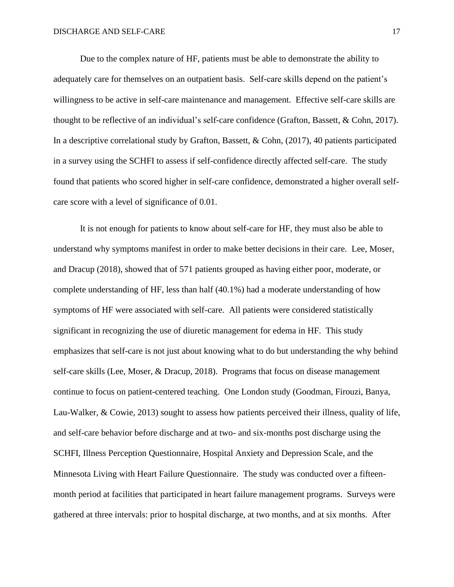Due to the complex nature of HF, patients must be able to demonstrate the ability to adequately care for themselves on an outpatient basis. Self-care skills depend on the patient's willingness to be active in self-care maintenance and management. Effective self-care skills are thought to be reflective of an individual's self-care confidence (Grafton, Bassett, & Cohn, 2017). In a descriptive correlational study by Grafton, Bassett, & Cohn, (2017), 40 patients participated in a survey using the SCHFI to assess if self-confidence directly affected self-care. The study found that patients who scored higher in self-care confidence, demonstrated a higher overall selfcare score with a level of significance of 0.01.

It is not enough for patients to know about self-care for HF, they must also be able to understand why symptoms manifest in order to make better decisions in their care. Lee, Moser, and Dracup (2018), showed that of 571 patients grouped as having either poor, moderate, or complete understanding of HF, less than half (40.1%) had a moderate understanding of how symptoms of HF were associated with self-care. All patients were considered statistically significant in recognizing the use of diuretic management for edema in HF. This study emphasizes that self-care is not just about knowing what to do but understanding the why behind self-care skills (Lee, Moser, & Dracup, 2018). Programs that focus on disease management continue to focus on patient-centered teaching. One London study (Goodman, Firouzi, Banya, Lau-Walker, & Cowie, 2013) sought to assess how patients perceived their illness, quality of life, and self-care behavior before discharge and at two- and six-months post discharge using the SCHFI, Illness Perception Questionnaire, Hospital Anxiety and Depression Scale, and the Minnesota Living with Heart Failure Questionnaire. The study was conducted over a fifteenmonth period at facilities that participated in heart failure management programs. Surveys were gathered at three intervals: prior to hospital discharge, at two months, and at six months. After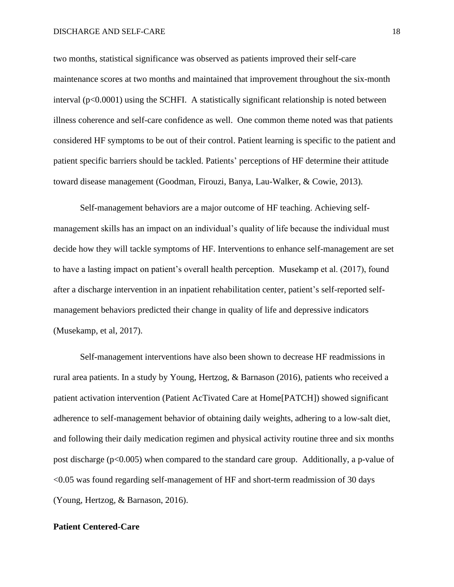#### DISCHARGE AND SELF-CARE 18

two months, statistical significance was observed as patients improved their self-care maintenance scores at two months and maintained that improvement throughout the six-month interval  $(p<0.0001)$  using the SCHFI. A statistically significant relationship is noted between illness coherence and self-care confidence as well. One common theme noted was that patients considered HF symptoms to be out of their control. Patient learning is specific to the patient and patient specific barriers should be tackled. Patients' perceptions of HF determine their attitude toward disease management (Goodman, Firouzi, Banya, Lau-Walker, & Cowie, 2013).

Self-management behaviors are a major outcome of HF teaching. Achieving selfmanagement skills has an impact on an individual's quality of life because the individual must decide how they will tackle symptoms of HF. Interventions to enhance self-management are set to have a lasting impact on patient's overall health perception. Musekamp et al. (2017), found after a discharge intervention in an inpatient rehabilitation center, patient's self-reported selfmanagement behaviors predicted their change in quality of life and depressive indicators (Musekamp, et al, 2017).

Self-management interventions have also been shown to decrease HF readmissions in rural area patients. In a study by Young, Hertzog, & Barnason (2016), patients who received a patient activation intervention (Patient AcTivated Care at Home[PATCH]) showed significant adherence to self-management behavior of obtaining daily weights, adhering to a low-salt diet, and following their daily medication regimen and physical activity routine three and six months post discharge (p<0.005) when compared to the standard care group. Additionally, a p-value of <0.05 was found regarding self-management of HF and short-term readmission of 30 days (Young, Hertzog, & Barnason, 2016).

#### **Patient Centered-Care**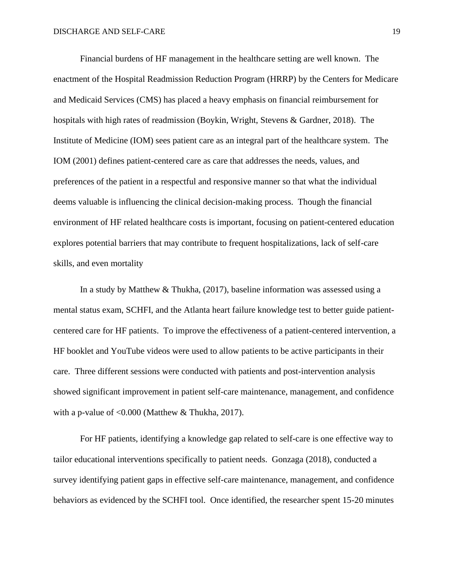Financial burdens of HF management in the healthcare setting are well known. The enactment of the Hospital Readmission Reduction Program (HRRP) by the Centers for Medicare and Medicaid Services (CMS) has placed a heavy emphasis on financial reimbursement for hospitals with high rates of readmission (Boykin, Wright, Stevens & Gardner, 2018). The Institute of Medicine (IOM) sees patient care as an integral part of the healthcare system. The IOM (2001) defines patient-centered care as care that addresses the needs, values, and preferences of the patient in a respectful and responsive manner so that what the individual deems valuable is influencing the clinical decision-making process. Though the financial environment of HF related healthcare costs is important, focusing on patient-centered education explores potential barriers that may contribute to frequent hospitalizations, lack of self-care skills, and even mortality

In a study by Matthew & Thukha, (2017), baseline information was assessed using a mental status exam, SCHFI, and the Atlanta heart failure knowledge test to better guide patientcentered care for HF patients. To improve the effectiveness of a patient-centered intervention, a HF booklet and YouTube videos were used to allow patients to be active participants in their care. Three different sessions were conducted with patients and post-intervention analysis showed significant improvement in patient self-care maintenance, management, and confidence with a p-value of <0.000 (Matthew & Thukha, 2017).

For HF patients, identifying a knowledge gap related to self-care is one effective way to tailor educational interventions specifically to patient needs. Gonzaga (2018), conducted a survey identifying patient gaps in effective self-care maintenance, management, and confidence behaviors as evidenced by the SCHFI tool. Once identified, the researcher spent 15-20 minutes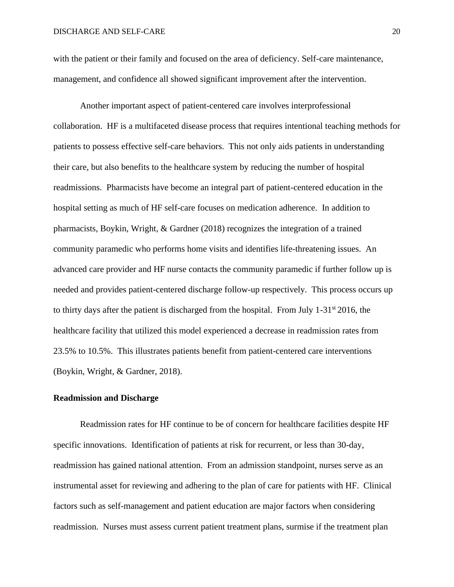with the patient or their family and focused on the area of deficiency. Self-care maintenance, management, and confidence all showed significant improvement after the intervention.

Another important aspect of patient-centered care involves interprofessional collaboration. HF is a multifaceted disease process that requires intentional teaching methods for patients to possess effective self-care behaviors. This not only aids patients in understanding their care, but also benefits to the healthcare system by reducing the number of hospital readmissions. Pharmacists have become an integral part of patient-centered education in the hospital setting as much of HF self-care focuses on medication adherence. In addition to pharmacists, Boykin, Wright, & Gardner (2018) recognizes the integration of a trained community paramedic who performs home visits and identifies life-threatening issues. An advanced care provider and HF nurse contacts the community paramedic if further follow up is needed and provides patient-centered discharge follow-up respectively. This process occurs up to thirty days after the patient is discharged from the hospital. From July 1-31st 2016, the healthcare facility that utilized this model experienced a decrease in readmission rates from 23.5% to 10.5%. This illustrates patients benefit from patient-centered care interventions (Boykin, Wright, & Gardner, 2018).

#### **Readmission and Discharge**

Readmission rates for HF continue to be of concern for healthcare facilities despite HF specific innovations. Identification of patients at risk for recurrent, or less than 30-day, readmission has gained national attention. From an admission standpoint, nurses serve as an instrumental asset for reviewing and adhering to the plan of care for patients with HF. Clinical factors such as self-management and patient education are major factors when considering readmission. Nurses must assess current patient treatment plans, surmise if the treatment plan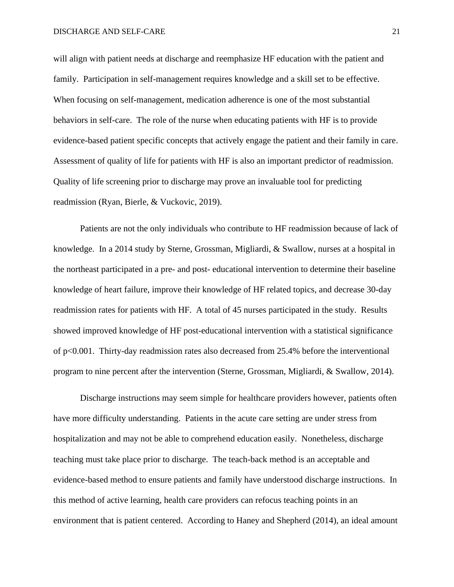will align with patient needs at discharge and reemphasize HF education with the patient and family. Participation in self-management requires knowledge and a skill set to be effective. When focusing on self-management, medication adherence is one of the most substantial behaviors in self-care. The role of the nurse when educating patients with HF is to provide evidence-based patient specific concepts that actively engage the patient and their family in care. Assessment of quality of life for patients with HF is also an important predictor of readmission. Quality of life screening prior to discharge may prove an invaluable tool for predicting readmission (Ryan, Bierle, & Vuckovic, 2019).

Patients are not the only individuals who contribute to HF readmission because of lack of knowledge. In a 2014 study by Sterne, Grossman, Migliardi, & Swallow, nurses at a hospital in the northeast participated in a pre- and post- educational intervention to determine their baseline knowledge of heart failure, improve their knowledge of HF related topics, and decrease 30-day readmission rates for patients with HF. A total of 45 nurses participated in the study. Results showed improved knowledge of HF post-educational intervention with a statistical significance of p<0.001. Thirty-day readmission rates also decreased from 25.4% before the interventional program to nine percent after the intervention (Sterne, Grossman, Migliardi, & Swallow, 2014).

Discharge instructions may seem simple for healthcare providers however, patients often have more difficulty understanding. Patients in the acute care setting are under stress from hospitalization and may not be able to comprehend education easily. Nonetheless, discharge teaching must take place prior to discharge. The teach-back method is an acceptable and evidence-based method to ensure patients and family have understood discharge instructions. In this method of active learning, health care providers can refocus teaching points in an environment that is patient centered. According to Haney and Shepherd (2014), an ideal amount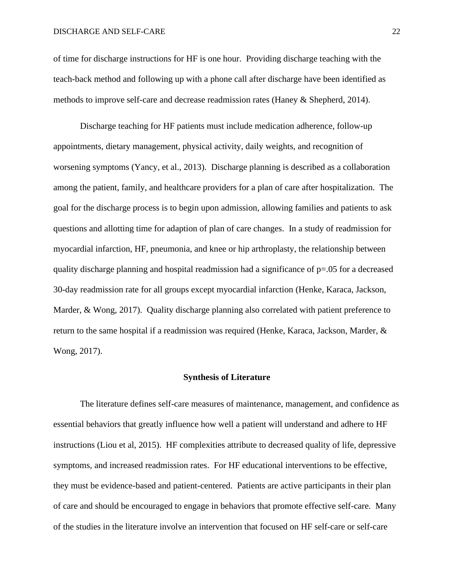of time for discharge instructions for HF is one hour. Providing discharge teaching with the teach-back method and following up with a phone call after discharge have been identified as methods to improve self-care and decrease readmission rates (Haney & Shepherd, 2014).

Discharge teaching for HF patients must include medication adherence, follow-up appointments, dietary management, physical activity, daily weights, and recognition of worsening symptoms (Yancy, et al., 2013). Discharge planning is described as a collaboration among the patient, family, and healthcare providers for a plan of care after hospitalization. The goal for the discharge process is to begin upon admission, allowing families and patients to ask questions and allotting time for adaption of plan of care changes. In a study of readmission for myocardial infarction, HF, pneumonia, and knee or hip arthroplasty, the relationship between quality discharge planning and hospital readmission had a significance of p=.05 for a decreased 30-day readmission rate for all groups except myocardial infarction (Henke, Karaca, Jackson, Marder, & Wong, 2017). Quality discharge planning also correlated with patient preference to return to the same hospital if a readmission was required (Henke, Karaca, Jackson, Marder, & Wong, 2017).

#### **Synthesis of Literature**

The literature defines self-care measures of maintenance, management, and confidence as essential behaviors that greatly influence how well a patient will understand and adhere to HF instructions (Liou et al, 2015). HF complexities attribute to decreased quality of life, depressive symptoms, and increased readmission rates. For HF educational interventions to be effective, they must be evidence-based and patient-centered. Patients are active participants in their plan of care and should be encouraged to engage in behaviors that promote effective self-care. Many of the studies in the literature involve an intervention that focused on HF self-care or self-care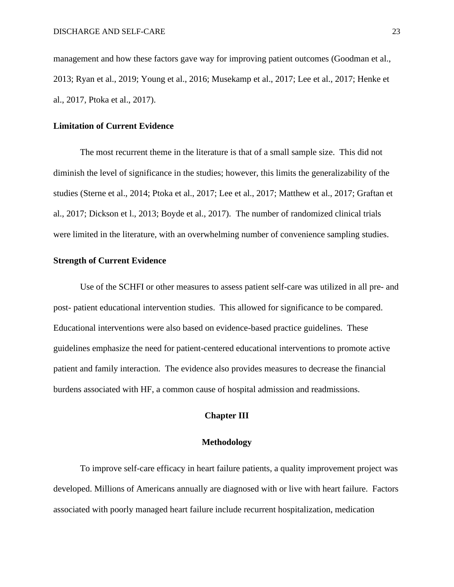management and how these factors gave way for improving patient outcomes (Goodman et al., 2013; Ryan et al., 2019; Young et al., 2016; Musekamp et al., 2017; Lee et al., 2017; Henke et al., 2017, Ptoka et al., 2017).

#### **Limitation of Current Evidence**

The most recurrent theme in the literature is that of a small sample size. This did not diminish the level of significance in the studies; however, this limits the generalizability of the studies (Sterne et al., 2014; Ptoka et al., 2017; Lee et al., 2017; Matthew et al., 2017; Graftan et al., 2017; Dickson et l., 2013; Boyde et al., 2017). The number of randomized clinical trials were limited in the literature, with an overwhelming number of convenience sampling studies.

#### **Strength of Current Evidence**

Use of the SCHFI or other measures to assess patient self-care was utilized in all pre- and post- patient educational intervention studies. This allowed for significance to be compared. Educational interventions were also based on evidence-based practice guidelines. These guidelines emphasize the need for patient-centered educational interventions to promote active patient and family interaction. The evidence also provides measures to decrease the financial burdens associated with HF, a common cause of hospital admission and readmissions.

## **Chapter III**

#### **Methodology**

To improve self-care efficacy in heart failure patients, a quality improvement project was developed. Millions of Americans annually are diagnosed with or live with heart failure. Factors associated with poorly managed heart failure include recurrent hospitalization, medication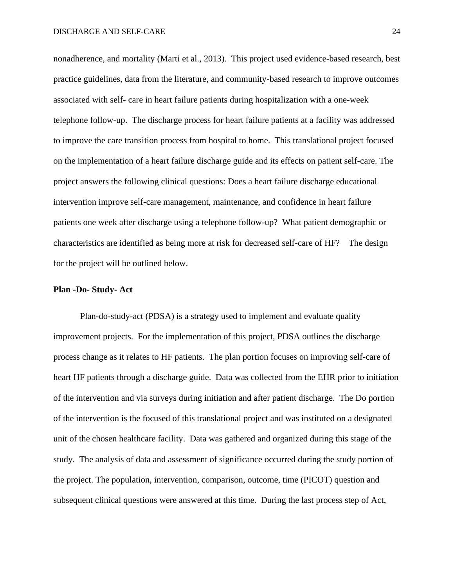nonadherence, and mortality (Marti et al., 2013). This project used evidence-based research, best practice guidelines, data from the literature, and community-based research to improve outcomes associated with self- care in heart failure patients during hospitalization with a one-week telephone follow-up. The discharge process for heart failure patients at a facility was addressed to improve the care transition process from hospital to home. This translational project focused on the implementation of a heart failure discharge guide and its effects on patient self-care. The project answers the following clinical questions: Does a heart failure discharge educational intervention improve self-care management, maintenance, and confidence in heart failure patients one week after discharge using a telephone follow-up? What patient demographic or characteristics are identified as being more at risk for decreased self-care of HF? The design for the project will be outlined below.

#### **Plan -Do- Study- Act**

Plan-do-study-act (PDSA) is a strategy used to implement and evaluate quality improvement projects. For the implementation of this project, PDSA outlines the discharge process change as it relates to HF patients. The plan portion focuses on improving self-care of heart HF patients through a discharge guide. Data was collected from the EHR prior to initiation of the intervention and via surveys during initiation and after patient discharge. The Do portion of the intervention is the focused of this translational project and was instituted on a designated unit of the chosen healthcare facility. Data was gathered and organized during this stage of the study. The analysis of data and assessment of significance occurred during the study portion of the project. The population, intervention, comparison, outcome, time (PICOT) question and subsequent clinical questions were answered at this time. During the last process step of Act,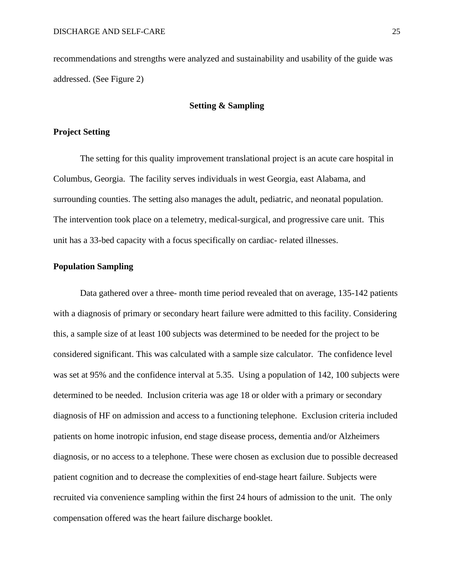recommendations and strengths were analyzed and sustainability and usability of the guide was addressed. (See Figure 2)

#### **Setting & Sampling**

#### **Project Setting**

The setting for this quality improvement translational project is an acute care hospital in Columbus, Georgia. The facility serves individuals in west Georgia, east Alabama, and surrounding counties. The setting also manages the adult, pediatric, and neonatal population. The intervention took place on a telemetry, medical-surgical, and progressive care unit. This unit has a 33-bed capacity with a focus specifically on cardiac- related illnesses.

#### **Population Sampling**

Data gathered over a three- month time period revealed that on average, 135-142 patients with a diagnosis of primary or secondary heart failure were admitted to this facility. Considering this, a sample size of at least 100 subjects was determined to be needed for the project to be considered significant. This was calculated with a sample size calculator. The confidence level was set at 95% and the confidence interval at 5.35. Using a population of 142, 100 subjects were determined to be needed. Inclusion criteria was age 18 or older with a primary or secondary diagnosis of HF on admission and access to a functioning telephone. Exclusion criteria included patients on home inotropic infusion, end stage disease process, dementia and/or Alzheimers diagnosis, or no access to a telephone. These were chosen as exclusion due to possible decreased patient cognition and to decrease the complexities of end-stage heart failure. Subjects were recruited via convenience sampling within the first 24 hours of admission to the unit. The only compensation offered was the heart failure discharge booklet.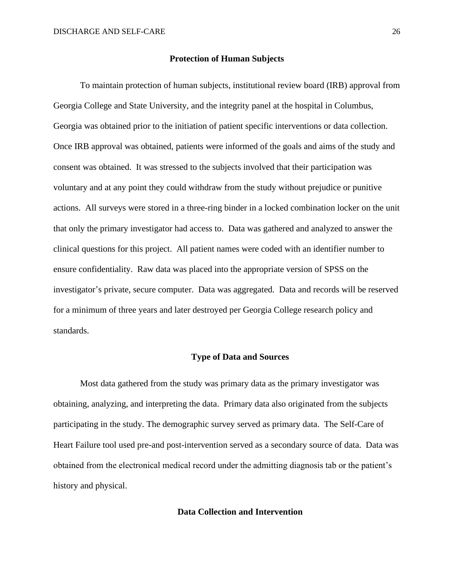#### **Protection of Human Subjects**

To maintain protection of human subjects, institutional review board (IRB) approval from Georgia College and State University, and the integrity panel at the hospital in Columbus, Georgia was obtained prior to the initiation of patient specific interventions or data collection. Once IRB approval was obtained, patients were informed of the goals and aims of the study and consent was obtained. It was stressed to the subjects involved that their participation was voluntary and at any point they could withdraw from the study without prejudice or punitive actions. All surveys were stored in a three-ring binder in a locked combination locker on the unit that only the primary investigator had access to. Data was gathered and analyzed to answer the clinical questions for this project. All patient names were coded with an identifier number to ensure confidentiality. Raw data was placed into the appropriate version of SPSS on the investigator's private, secure computer. Data was aggregated. Data and records will be reserved for a minimum of three years and later destroyed per Georgia College research policy and standards.

#### **Type of Data and Sources**

Most data gathered from the study was primary data as the primary investigator was obtaining, analyzing, and interpreting the data. Primary data also originated from the subjects participating in the study. The demographic survey served as primary data. The Self-Care of Heart Failure tool used pre-and post-intervention served as a secondary source of data. Data was obtained from the electronical medical record under the admitting diagnosis tab or the patient's history and physical.

## **Data Collection and Intervention**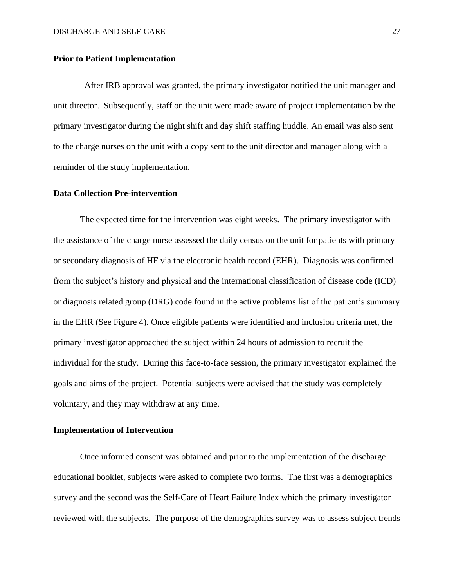#### **Prior to Patient Implementation**

After IRB approval was granted, the primary investigator notified the unit manager and unit director. Subsequently, staff on the unit were made aware of project implementation by the primary investigator during the night shift and day shift staffing huddle. An email was also sent to the charge nurses on the unit with a copy sent to the unit director and manager along with a reminder of the study implementation.

## **Data Collection Pre-intervention**

The expected time for the intervention was eight weeks. The primary investigator with the assistance of the charge nurse assessed the daily census on the unit for patients with primary or secondary diagnosis of HF via the electronic health record (EHR). Diagnosis was confirmed from the subject's history and physical and the international classification of disease code (ICD) or diagnosis related group (DRG) code found in the active problems list of the patient's summary in the EHR (See Figure 4). Once eligible patients were identified and inclusion criteria met, the primary investigator approached the subject within 24 hours of admission to recruit the individual for the study. During this face-to-face session, the primary investigator explained the goals and aims of the project. Potential subjects were advised that the study was completely voluntary, and they may withdraw at any time.

#### **Implementation of Intervention**

Once informed consent was obtained and prior to the implementation of the discharge educational booklet, subjects were asked to complete two forms. The first was a demographics survey and the second was the Self-Care of Heart Failure Index which the primary investigator reviewed with the subjects. The purpose of the demographics survey was to assess subject trends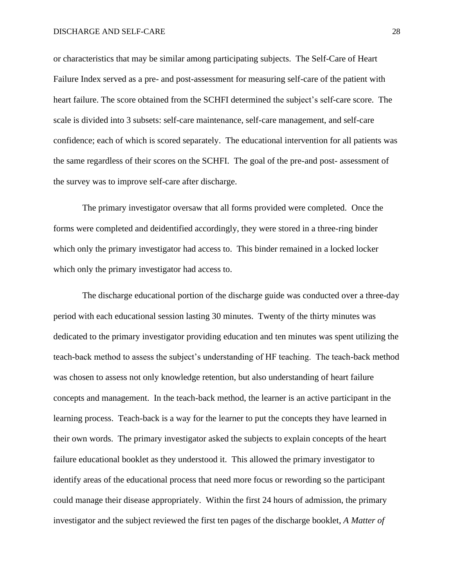or characteristics that may be similar among participating subjects. The Self-Care of Heart Failure Index served as a pre- and post-assessment for measuring self-care of the patient with heart failure. The score obtained from the SCHFI determined the subject's self-care score. The scale is divided into 3 subsets: self-care maintenance, self-care management, and self-care confidence; each of which is scored separately. The educational intervention for all patients was the same regardless of their scores on the SCHFI. The goal of the pre-and post- assessment of the survey was to improve self-care after discharge.

The primary investigator oversaw that all forms provided were completed. Once the forms were completed and deidentified accordingly, they were stored in a three-ring binder which only the primary investigator had access to. This binder remained in a locked locker which only the primary investigator had access to.

The discharge educational portion of the discharge guide was conducted over a three-day period with each educational session lasting 30 minutes. Twenty of the thirty minutes was dedicated to the primary investigator providing education and ten minutes was spent utilizing the teach-back method to assess the subject's understanding of HF teaching. The teach-back method was chosen to assess not only knowledge retention, but also understanding of heart failure concepts and management. In the teach-back method, the learner is an active participant in the learning process. Teach-back is a way for the learner to put the concepts they have learned in their own words. The primary investigator asked the subjects to explain concepts of the heart failure educational booklet as they understood it. This allowed the primary investigator to identify areas of the educational process that need more focus or rewording so the participant could manage their disease appropriately. Within the first 24 hours of admission, the primary investigator and the subject reviewed the first ten pages of the discharge booklet, *A Matter of*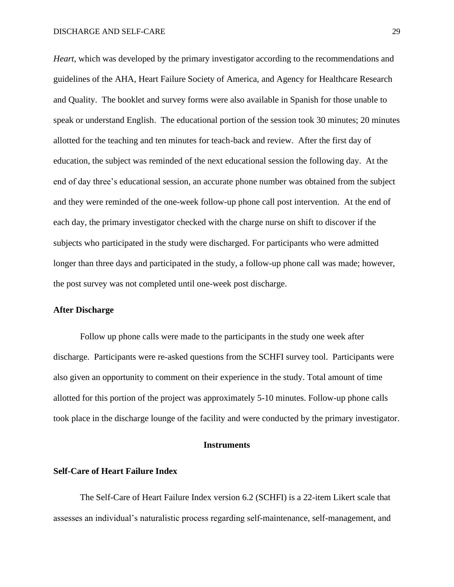*Heart*, which was developed by the primary investigator according to the recommendations and guidelines of the AHA, Heart Failure Society of America, and Agency for Healthcare Research and Quality. The booklet and survey forms were also available in Spanish for those unable to speak or understand English. The educational portion of the session took 30 minutes; 20 minutes allotted for the teaching and ten minutes for teach-back and review. After the first day of education, the subject was reminded of the next educational session the following day. At the end of day three's educational session, an accurate phone number was obtained from the subject and they were reminded of the one-week follow-up phone call post intervention. At the end of each day, the primary investigator checked with the charge nurse on shift to discover if the subjects who participated in the study were discharged. For participants who were admitted longer than three days and participated in the study, a follow-up phone call was made; however, the post survey was not completed until one-week post discharge.

## **After Discharge**

Follow up phone calls were made to the participants in the study one week after discharge. Participants were re-asked questions from the SCHFI survey tool. Participants were also given an opportunity to comment on their experience in the study. Total amount of time allotted for this portion of the project was approximately 5-10 minutes. Follow-up phone calls took place in the discharge lounge of the facility and were conducted by the primary investigator.

#### **Instruments**

#### **Self-Care of Heart Failure Index**

The Self-Care of Heart Failure Index version 6.2 (SCHFI) is a 22-item Likert scale that assesses an individual's naturalistic process regarding self-maintenance, self-management, and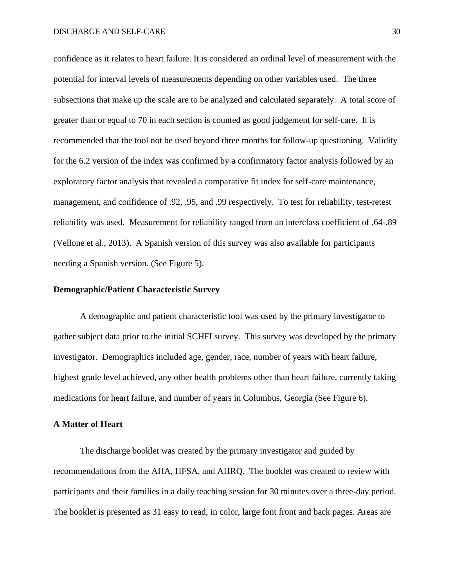confidence as it relates to heart failure. It is considered an ordinal level of measurement with the potential for interval levels of measurements depending on other variables used. The three subsections that make up the scale are to be analyzed and calculated separately. A total score of greater than or equal to 70 in each section is counted as good judgement for self-care. It is recommended that the tool not be used beyond three months for follow-up questioning. Validity for the 6.2 version of the index was confirmed by a confirmatory factor analysis followed by an exploratory factor analysis that revealed a comparative fit index for self-care maintenance, management, and confidence of .92, .95, and .99 respectively. To test for reliability, test-retest reliability was used. Measurement for reliability ranged from an interclass coefficient of .64-.89 (Vellone et al., 2013). A Spanish version of this survey was also available for participants needing a Spanish version. (See Figure 5).

## **Demographic/Patient Characteristic Survey**

A demographic and patient characteristic tool was used by the primary investigator to gather subject data prior to the initial SCHFI survey. This survey was developed by the primary investigator. Demographics included age, gender, race, number of years with heart failure, highest grade level achieved, any other health problems other than heart failure, currently taking medications for heart failure, and number of years in Columbus, Georgia (See Figure 6).

## **A Matter of Heart**

The discharge booklet was created by the primary investigator and guided by recommendations from the AHA, HFSA, and AHRQ. The booklet was created to review with participants and their families in a daily teaching session for 30 minutes over a three-day period. The booklet is presented as 31 easy to read, in color, large font front and back pages. Areas are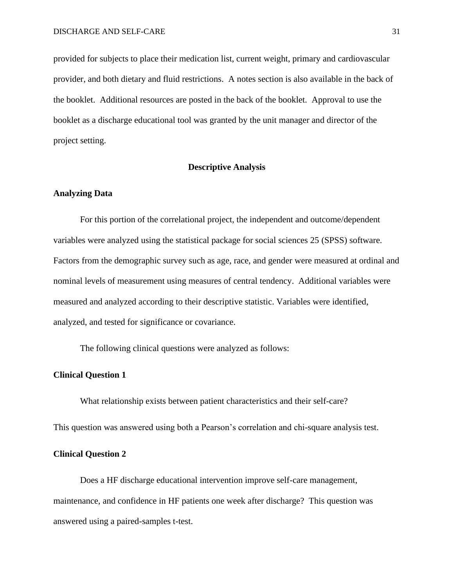provided for subjects to place their medication list, current weight, primary and cardiovascular provider, and both dietary and fluid restrictions. A notes section is also available in the back of the booklet. Additional resources are posted in the back of the booklet. Approval to use the booklet as a discharge educational tool was granted by the unit manager and director of the project setting.

## **Descriptive Analysis**

#### **Analyzing Data**

For this portion of the correlational project, the independent and outcome/dependent variables were analyzed using the statistical package for social sciences 25 (SPSS) software. Factors from the demographic survey such as age, race, and gender were measured at ordinal and nominal levels of measurement using measures of central tendency. Additional variables were measured and analyzed according to their descriptive statistic. Variables were identified, analyzed, and tested for significance or covariance.

The following clinical questions were analyzed as follows:

#### **Clinical Question 1**

What relationship exists between patient characteristics and their self-care?

This question was answered using both a Pearson's correlation and chi-square analysis test.

#### **Clinical Question 2**

Does a HF discharge educational intervention improve self-care management, maintenance, and confidence in HF patients one week after discharge? This question was answered using a paired-samples t-test.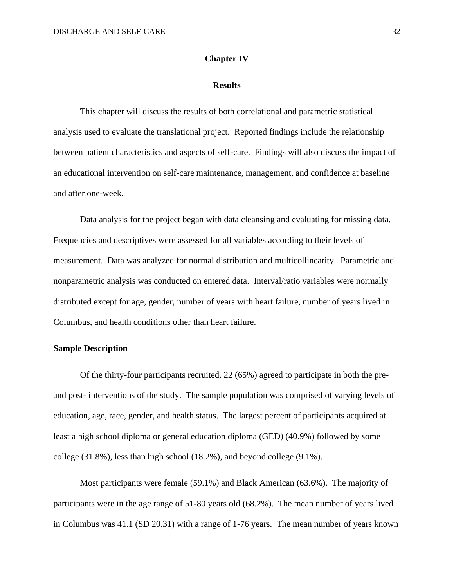#### **Chapter IV**

#### **Results**

This chapter will discuss the results of both correlational and parametric statistical analysis used to evaluate the translational project. Reported findings include the relationship between patient characteristics and aspects of self-care. Findings will also discuss the impact of an educational intervention on self-care maintenance, management, and confidence at baseline and after one-week.

Data analysis for the project began with data cleansing and evaluating for missing data. Frequencies and descriptives were assessed for all variables according to their levels of measurement. Data was analyzed for normal distribution and multicollinearity. Parametric and nonparametric analysis was conducted on entered data. Interval/ratio variables were normally distributed except for age, gender, number of years with heart failure, number of years lived in Columbus, and health conditions other than heart failure.

#### **Sample Description**

Of the thirty-four participants recruited, 22 (65%) agreed to participate in both the preand post- interventions of the study. The sample population was comprised of varying levels of education, age, race, gender, and health status. The largest percent of participants acquired at least a high school diploma or general education diploma (GED) (40.9%) followed by some college (31.8%), less than high school (18.2%), and beyond college (9.1%).

Most participants were female (59.1%) and Black American (63.6%). The majority of participants were in the age range of 51-80 years old (68.2%). The mean number of years lived in Columbus was 41.1 (SD 20.31) with a range of 1-76 years. The mean number of years known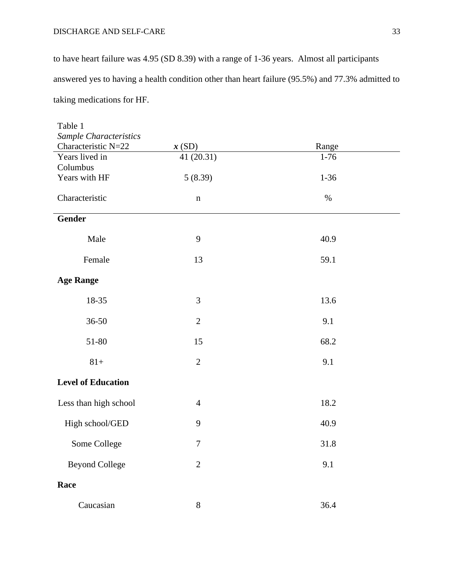## DISCHARGE AND SELF-CARE 33

to have heart failure was 4.95 (SD 8.39) with a range of 1-36 years. Almost all participants answered yes to having a health condition other than heart failure (95.5%) and 77.3% admitted to taking medications for HF.

| Table 1                   |                |          |  |
|---------------------------|----------------|----------|--|
| Sample Characteristics    |                |          |  |
| Characteristic N=22       | x(SD)          | Range    |  |
| Years lived in            | 41 (20.31)     | $1-76$   |  |
| Columbus                  |                |          |  |
| Years with HF             | 5(8.39)        | $1 - 36$ |  |
| Characteristic            | $\mathbf n$    | $\%$     |  |
| Gender                    |                |          |  |
| Male                      | 9              | 40.9     |  |
| Female                    | 13             | 59.1     |  |
| <b>Age Range</b>          |                |          |  |
| 18-35                     | 3              | 13.6     |  |
| 36-50                     | $\overline{2}$ | 9.1      |  |
| 51-80                     | 15             | 68.2     |  |
| $81+$                     | $\overline{2}$ | 9.1      |  |
| <b>Level of Education</b> |                |          |  |
| Less than high school     | $\overline{4}$ | 18.2     |  |
| High school/GED           | 9              | 40.9     |  |
| Some College              | $\tau$         | 31.8     |  |
| <b>Beyond College</b>     | $\overline{2}$ | 9.1      |  |
| Race                      |                |          |  |
| Caucasian                 | $8\,$          | 36.4     |  |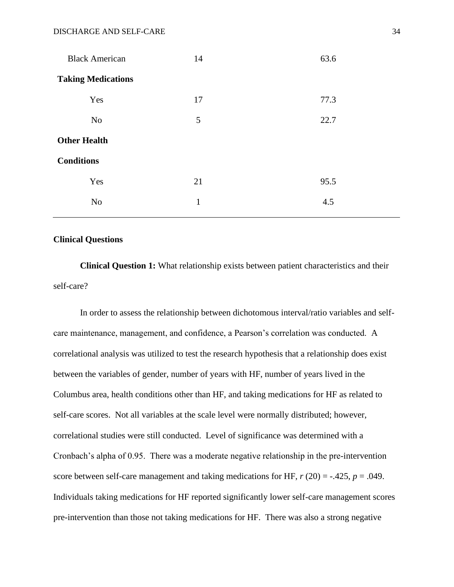| <b>Black American</b>     | 14           | 63.6 |
|---------------------------|--------------|------|
| <b>Taking Medications</b> |              |      |
| Yes                       | 17           | 77.3 |
| No                        | 5            | 22.7 |
| <b>Other Health</b>       |              |      |
| <b>Conditions</b>         |              |      |
| Yes                       | 21           | 95.5 |
| No                        | $\mathbf{1}$ | 4.5  |

#### **Clinical Questions**

**Clinical Question 1:** What relationship exists between patient characteristics and their self-care?

In order to assess the relationship between dichotomous interval/ratio variables and selfcare maintenance, management, and confidence, a Pearson's correlation was conducted. A correlational analysis was utilized to test the research hypothesis that a relationship does exist between the variables of gender, number of years with HF, number of years lived in the Columbus area, health conditions other than HF, and taking medications for HF as related to self-care scores. Not all variables at the scale level were normally distributed; however, correlational studies were still conducted. Level of significance was determined with a Cronbach's alpha of 0.95. There was a moderate negative relationship in the pre-intervention score between self-care management and taking medications for HF,  $r(20) = -0.425$ ,  $p = 0.049$ . Individuals taking medications for HF reported significantly lower self-care management scores pre-intervention than those not taking medications for HF. There was also a strong negative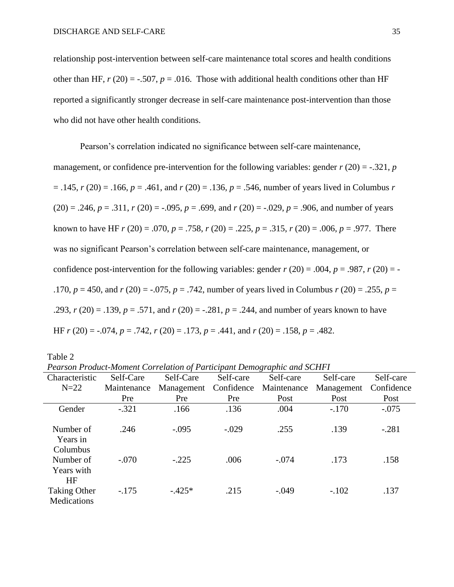relationship post-intervention between self-care maintenance total scores and health conditions other than HF,  $r(20) = -.507$ ,  $p = .016$ . Those with additional health conditions other than HF reported a significantly stronger decrease in self-care maintenance post-intervention than those who did not have other health conditions.

Pearson's correlation indicated no significance between self-care maintenance, management, or confidence pre-intervention for the following variables: gender  $r(20) = -.321$ , *p*  $= .145$ ,  $r(20) = .166$ ,  $p = .461$ , and  $r(20) = .136$ ,  $p = .546$ , number of years lived in Columbus *r*  $(20) = .246$ ,  $p = .311$ ,  $r(20) = -.095$ ,  $p = .699$ , and  $r(20) = .029$ ,  $p = .906$ , and number of years known to have HF  $r(20) = .070$ ,  $p = .758$ ,  $r(20) = .225$ ,  $p = .315$ ,  $r(20) = .006$ ,  $p = .977$ . There was no significant Pearson's correlation between self-care maintenance, management, or confidence post-intervention for the following variables: gender  $r(20) = .004$ ,  $p = .987$ ,  $r(20) = -$ .170,  $p = 450$ , and  $r(20) = -.075$ ,  $p = .742$ , number of years lived in Columbus  $r(20) = .255$ ,  $p =$ .293, *r* (20) = .139, *p* = .571, and *r* (20) = -.281, *p* = .244, and number of years known to have HF *r* (20) = -.074, *p* = .742, *r* (20) = .173, *p* = .441, and *r* (20) = .158, *p* = .482.

Table 2

*Pearson Product-Moment Correlation of Participant Demographic and SCHFI*

| Characteristic                                  | Self-Care   | Self-Care  | Self-care  | Self-care   | Self-care  | Self-care  |
|-------------------------------------------------|-------------|------------|------------|-------------|------------|------------|
| $N=22$                                          | Maintenance | Management | Confidence | Maintenance | Management | Confidence |
|                                                 | Pre         | Pre        | Pre        | Post        | Post       | Post       |
| Gender                                          | $-.321$     | .166       | .136       | .004        | $-.170$    | $-.075$    |
| Number of<br>Years in                           | .246        | $-.095$    | $-.029$    | .255        | .139       | $-.281$    |
| Columbus<br>Number of<br>Years with             | $-.070$     | $-.225$    | .006       | $-.074$     | .173       | .158       |
| <b>HF</b><br><b>Taking Other</b><br>Medications | $-.175$     | $-.425*$   | .215       | $-.049$     | $-.102$    | .137       |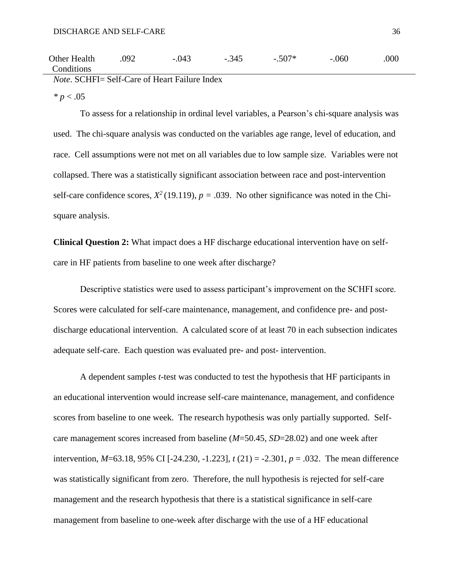| ________     | _______ | ___<br>____                      |                                            |                                    |         |      |
|--------------|---------|----------------------------------|--------------------------------------------|------------------------------------|---------|------|
| Conditions   |         |                                  |                                            |                                    |         |      |
| Other Health | .092    | .043<br>$\overline{\phantom{0}}$ | 345<br>$\overline{\phantom{0}}$<br>$\cdot$ | $507*$<br>$\overline{\phantom{0}}$ | $-.060$ | .000 |

*Note*. SCHFI= Self-Care of Heart Failure Index

 $* p < .05$ 

To assess for a relationship in ordinal level variables, a Pearson's chi-square analysis was used. The chi-square analysis was conducted on the variables age range, level of education, and race. Cell assumptions were not met on all variables due to low sample size. Variables were not collapsed. There was a statistically significant association between race and post-intervention self-care confidence scores,  $X^2$  (19.119),  $p = .039$ . No other significance was noted in the Chisquare analysis.

**Clinical Question 2:** What impact does a HF discharge educational intervention have on selfcare in HF patients from baseline to one week after discharge?

Descriptive statistics were used to assess participant's improvement on the SCHFI score. Scores were calculated for self-care maintenance, management, and confidence pre- and postdischarge educational intervention. A calculated score of at least 70 in each subsection indicates adequate self-care. Each question was evaluated pre- and post- intervention.

A dependent samples *t*-test was conducted to test the hypothesis that HF participants in an educational intervention would increase self-care maintenance, management, and confidence scores from baseline to one week. The research hypothesis was only partially supported. Selfcare management scores increased from baseline (*M*=50.45, *SD*=28.02) and one week after intervention, *M*=63.18, 95% CI [-24.230, -1.223], *t* (21) = -2.301, *p* = .032. The mean difference was statistically significant from zero. Therefore, the null hypothesis is rejected for self-care management and the research hypothesis that there is a statistical significance in self-care management from baseline to one-week after discharge with the use of a HF educational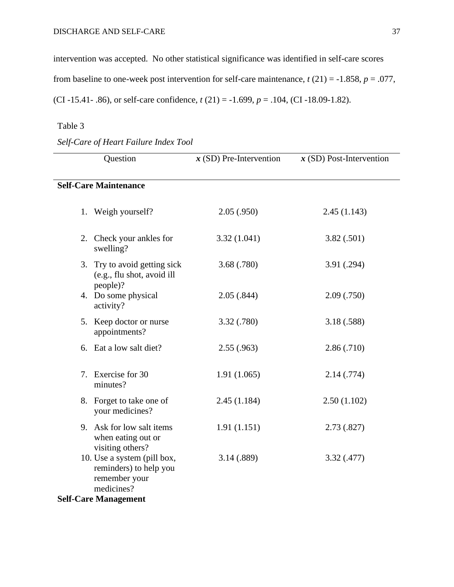intervention was accepted. No other statistical significance was identified in self-care scores from baseline to one-week post intervention for self-care maintenance,  $t(21) = -1.858$ ,  $p = .077$ , (CI -15.41- .86), or self-care confidence, *t* (21) = -1.699, *p* = .104, (CI -18.09-1.82).

## Table 3

| Question                                                                                                            | $x$ (SD) Pre-Intervention | $x$ (SD) Post-Intervention |
|---------------------------------------------------------------------------------------------------------------------|---------------------------|----------------------------|
| <b>Self-Care Maintenance</b>                                                                                        |                           |                            |
| 1. Weigh yourself?                                                                                                  | 2.05(.950)                | 2.45(1.143)                |
| 2. Check your ankles for<br>swelling?                                                                               | 3.32(1.041)               | 3.82(.501)                 |
| 3. Try to avoid getting sick<br>(e.g., flu shot, avoid ill                                                          | 3.68 (.780)               | 3.91 (.294)                |
| people)?<br>4. Do some physical<br>activity?                                                                        | 2.05(.844)                | 2.09(.750)                 |
| 5. Keep doctor or nurse<br>appointments?                                                                            | 3.32 (.780)               | 3.18 (.588)                |
| 6. Eat a low salt diet?                                                                                             | 2.55(.963)                | 2.86(.710)                 |
| Exercise for 30<br>7.<br>minutes?                                                                                   | 1.91(1.065)               | 2.14(.774)                 |
| 8. Forget to take one of<br>your medicines?                                                                         | 2.45(1.184)               | 2.50(1.102)                |
| 9. Ask for low salt items<br>when eating out or<br>visiting others?                                                 | 1.91(1.151)               | 2.73(.827)                 |
| 10. Use a system (pill box,<br>reminders) to help you<br>remember your<br>medicines?<br><b>Self-Care Management</b> | 3.14 (.889)               | 3.32(.477)                 |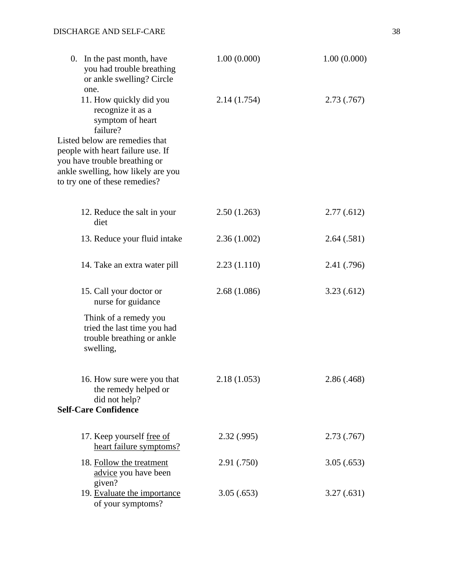| 1.00(0.000) | 1.00(0.000) |
|-------------|-------------|
| 2.14(1.754) | 2.73(.767)  |
|             |             |
| 2.50(1.263) | 2.77(.612)  |
| 2.36(1.002) | 2.64(.581)  |
| 2.23(1.110) | 2.41 (.796) |
| 2.68(1.086) | 3.23(0.612) |
|             |             |
| 2.18(1.053) | 2.86 (.468) |
| 2.32(.995)  | 2.73(.767)  |
| 2.91 (.750) | 3.05(.653)  |
| 3.05(.653)  | 3.27(.631)  |
|             |             |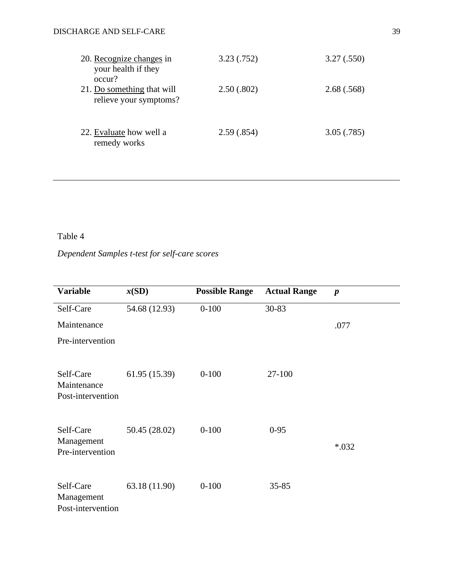| 20. Recognize changes in<br>your health if they<br>occur? | 3.23(.752) | 3.27(.550) |
|-----------------------------------------------------------|------------|------------|
| 21. Do something that will<br>relieve your symptoms?      | 2.50(.802) | 2.68(.568) |
| 22. Evaluate how well a<br>remedy works                   | 2.59(.854) | 3.05(.785) |

Table 4

# *Dependent Samples t-test for self-care scores*

| <b>Variable</b>                               | x(SD)         | <b>Possible Range</b> | <b>Actual Range</b> | $\boldsymbol{p}$ |
|-----------------------------------------------|---------------|-----------------------|---------------------|------------------|
| Self-Care                                     | 54.68 (12.93) | $0 - 100$             | 30-83               |                  |
| Maintenance                                   |               |                       |                     | .077             |
| Pre-intervention                              |               |                       |                     |                  |
| Self-Care<br>Maintenance<br>Post-intervention | 61.95 (15.39) | $0 - 100$             | 27-100              |                  |
| Self-Care                                     | 50.45 (28.02) | $0 - 100$             | $0 - 95$            |                  |
| Management<br>Pre-intervention                |               |                       |                     | $*032$           |
| Self-Care<br>Management<br>Post-intervention  | 63.18 (11.90) | $0 - 100$             | $35 - 85$           |                  |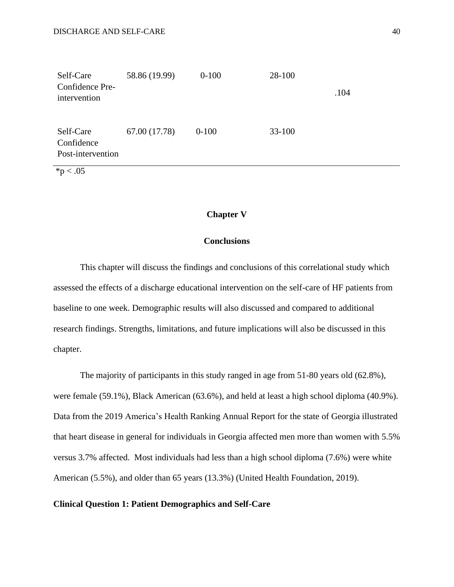| Self-Care<br>Confidence Pre-<br>intervention | 58.86 (19.99) | $0-100$ | 28-100     | .104 |
|----------------------------------------------|---------------|---------|------------|------|
| Self-Care<br>Confidence<br>Post-intervention | 67.00 (17.78) | $0-100$ | $33 - 100$ |      |

 $*_{p < .05}$ 

#### **Chapter V**

## **Conclusions**

This chapter will discuss the findings and conclusions of this correlational study which assessed the effects of a discharge educational intervention on the self-care of HF patients from baseline to one week. Demographic results will also discussed and compared to additional research findings. Strengths, limitations, and future implications will also be discussed in this chapter.

The majority of participants in this study ranged in age from 51-80 years old (62.8%), were female (59.1%), Black American (63.6%), and held at least a high school diploma (40.9%). Data from the 2019 America's Health Ranking Annual Report for the state of Georgia illustrated that heart disease in general for individuals in Georgia affected men more than women with 5.5% versus 3.7% affected. Most individuals had less than a high school diploma (7.6%) were white American (5.5%), and older than 65 years (13.3%) (United Health Foundation, 2019).

#### **Clinical Question 1: Patient Demographics and Self-Care**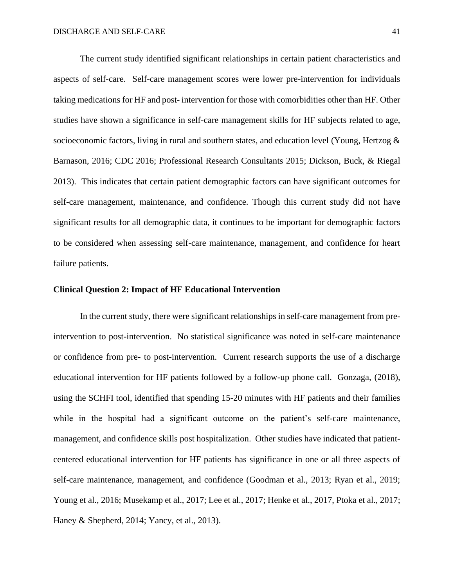The current study identified significant relationships in certain patient characteristics and aspects of self-care. Self-care management scores were lower pre-intervention for individuals taking medications for HF and post- intervention for those with comorbidities other than HF. Other studies have shown a significance in self-care management skills for HF subjects related to age, socioeconomic factors, living in rural and southern states, and education level (Young, Hertzog  $\&$ Barnason, 2016; CDC 2016; Professional Research Consultants 2015; Dickson, Buck, & Riegal 2013). This indicates that certain patient demographic factors can have significant outcomes for self-care management, maintenance, and confidence. Though this current study did not have significant results for all demographic data, it continues to be important for demographic factors to be considered when assessing self-care maintenance, management, and confidence for heart failure patients.

#### **Clinical Question 2: Impact of HF Educational Intervention**

In the current study, there were significant relationships in self-care management from preintervention to post-intervention. No statistical significance was noted in self-care maintenance or confidence from pre- to post-intervention. Current research supports the use of a discharge educational intervention for HF patients followed by a follow-up phone call. Gonzaga, (2018), using the SCHFI tool, identified that spending 15-20 minutes with HF patients and their families while in the hospital had a significant outcome on the patient's self-care maintenance, management, and confidence skills post hospitalization. Other studies have indicated that patientcentered educational intervention for HF patients has significance in one or all three aspects of self-care maintenance, management, and confidence (Goodman et al., 2013; Ryan et al., 2019; Young et al., 2016; Musekamp et al., 2017; Lee et al., 2017; Henke et al., 2017, Ptoka et al., 2017; Haney & Shepherd, 2014; Yancy, et al., 2013).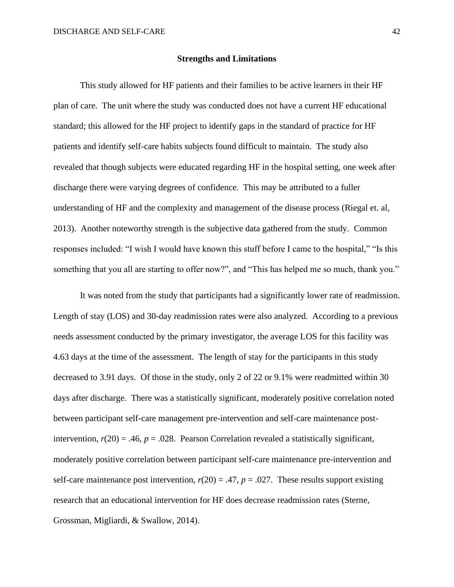#### **Strengths and Limitations**

This study allowed for HF patients and their families to be active learners in their HF plan of care. The unit where the study was conducted does not have a current HF educational standard; this allowed for the HF project to identify gaps in the standard of practice for HF patients and identify self-care habits subjects found difficult to maintain. The study also revealed that though subjects were educated regarding HF in the hospital setting, one week after discharge there were varying degrees of confidence. This may be attributed to a fuller understanding of HF and the complexity and management of the disease process (Riegal et. al, 2013). Another noteworthy strength is the subjective data gathered from the study. Common responses included: "I wish I would have known this stuff before I came to the hospital," "Is this something that you all are starting to offer now?", and "This has helped me so much, thank you."

It was noted from the study that participants had a significantly lower rate of readmission. Length of stay (LOS) and 30-day readmission rates were also analyzed. According to a previous needs assessment conducted by the primary investigator, the average LOS for this facility was 4.63 days at the time of the assessment. The length of stay for the participants in this study decreased to 3.91 days. Of those in the study, only 2 of 22 or 9.1% were readmitted within 30 days after discharge. There was a statistically significant, moderately positive correlation noted between participant self-care management pre-intervention and self-care maintenance postintervention,  $r(20) = .46$ ,  $p = .028$ . Pearson Correlation revealed a statistically significant, moderately positive correlation between participant self-care maintenance pre-intervention and self-care maintenance post intervention,  $r(20) = .47$ ,  $p = .027$ . These results support existing research that an educational intervention for HF does decrease readmission rates (Sterne, Grossman, Migliardi, & Swallow, 2014).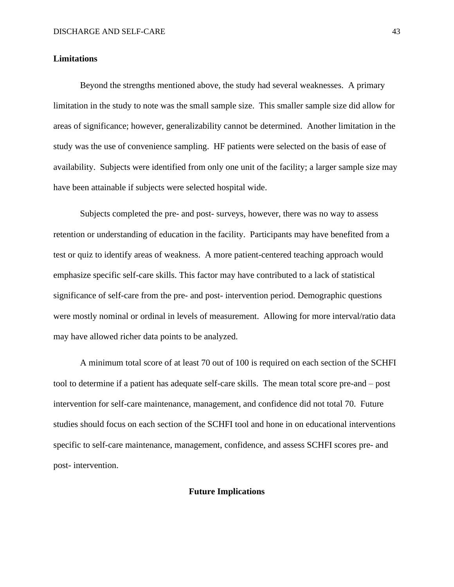#### **Limitations**

Beyond the strengths mentioned above, the study had several weaknesses. A primary limitation in the study to note was the small sample size. This smaller sample size did allow for areas of significance; however, generalizability cannot be determined. Another limitation in the study was the use of convenience sampling. HF patients were selected on the basis of ease of availability. Subjects were identified from only one unit of the facility; a larger sample size may have been attainable if subjects were selected hospital wide.

Subjects completed the pre- and post- surveys, however, there was no way to assess retention or understanding of education in the facility. Participants may have benefited from a test or quiz to identify areas of weakness. A more patient-centered teaching approach would emphasize specific self-care skills. This factor may have contributed to a lack of statistical significance of self-care from the pre- and post- intervention period. Demographic questions were mostly nominal or ordinal in levels of measurement. Allowing for more interval/ratio data may have allowed richer data points to be analyzed.

A minimum total score of at least 70 out of 100 is required on each section of the SCHFI tool to determine if a patient has adequate self-care skills. The mean total score pre-and – post intervention for self-care maintenance, management, and confidence did not total 70. Future studies should focus on each section of the SCHFI tool and hone in on educational interventions specific to self-care maintenance, management, confidence, and assess SCHFI scores pre- and post- intervention.

#### **Future Implications**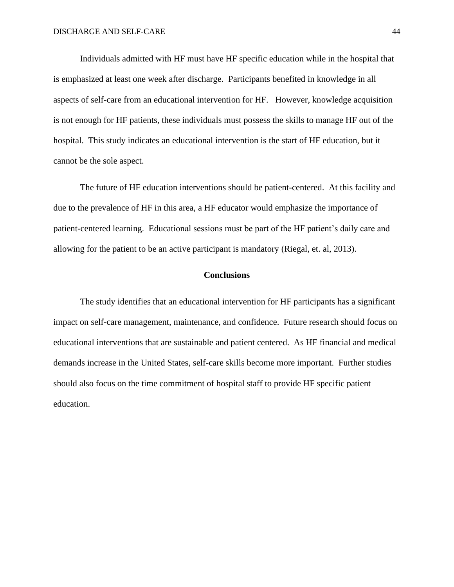Individuals admitted with HF must have HF specific education while in the hospital that is emphasized at least one week after discharge. Participants benefited in knowledge in all aspects of self-care from an educational intervention for HF. However, knowledge acquisition is not enough for HF patients, these individuals must possess the skills to manage HF out of the hospital. This study indicates an educational intervention is the start of HF education, but it cannot be the sole aspect.

The future of HF education interventions should be patient-centered. At this facility and due to the prevalence of HF in this area, a HF educator would emphasize the importance of patient-centered learning. Educational sessions must be part of the HF patient's daily care and allowing for the patient to be an active participant is mandatory (Riegal, et. al, 2013).

#### **Conclusions**

The study identifies that an educational intervention for HF participants has a significant impact on self-care management, maintenance, and confidence. Future research should focus on educational interventions that are sustainable and patient centered. As HF financial and medical demands increase in the United States, self-care skills become more important. Further studies should also focus on the time commitment of hospital staff to provide HF specific patient education.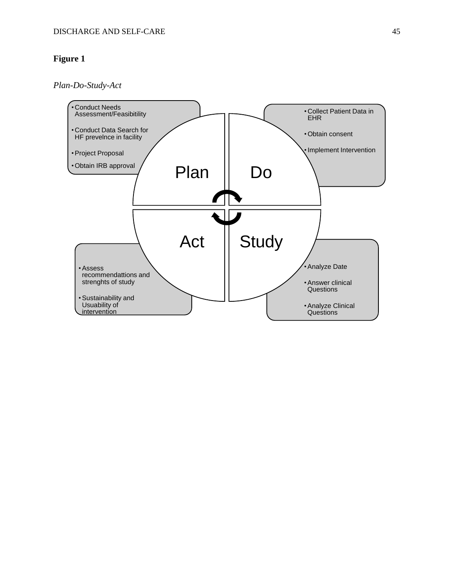*Plan-Do-Study-Act*

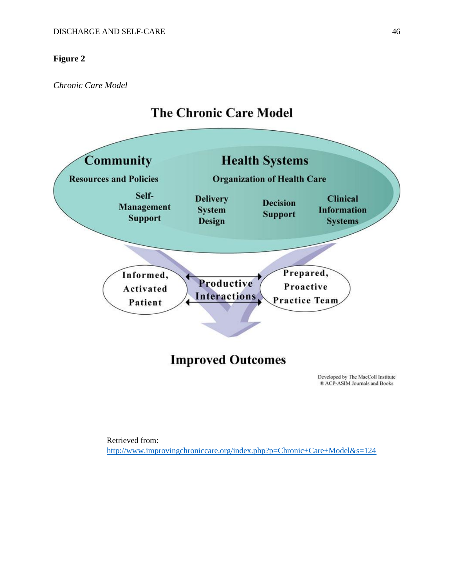*Chronic Care Model*

# **The Chronic Care Model**



Retrieved from: <http://www.improvingchroniccare.org/index.php?p=Chronic+Care+Model&s=124>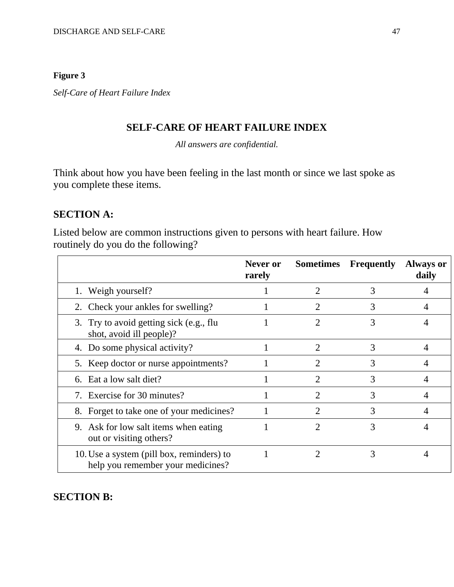*Self-Care of Heart Failure Index* 

## **SELF-CARE OF HEART FAILURE INDEX**

*All answers are confidential.*

Think about how you have been feeling in the last month or since we last spoke as you complete these items.

## **SECTION A:**

Listed below are common instructions given to persons with heart failure. How routinely do you do the following?

|                                                                                | Never or<br>rarely |                             | <b>Sometimes</b> Frequently | <b>Always or</b><br>daily |
|--------------------------------------------------------------------------------|--------------------|-----------------------------|-----------------------------|---------------------------|
| 1. Weigh yourself?                                                             |                    |                             | 3                           |                           |
| 2. Check your ankles for swelling?                                             |                    |                             | 3                           |                           |
| 3. Try to avoid getting sick (e.g., flu<br>shot, avoid ill people)?            |                    | 2                           | 3                           |                           |
| 4. Do some physical activity?                                                  |                    | $\mathfrak{D}$              | 3                           |                           |
| 5. Keep doctor or nurse appointments?                                          |                    | 2                           | 3                           |                           |
| 6. Eat a low salt diet?                                                        |                    | $\mathcal{D}_{\mathcal{L}}$ | 3                           |                           |
| 7. Exercise for 30 minutes?                                                    |                    |                             | 3                           |                           |
| 8. Forget to take one of your medicines?                                       |                    |                             | 3                           |                           |
| 9. Ask for low salt items when eating<br>out or visiting others?               |                    | 2                           | 3                           |                           |
| 10. Use a system (pill box, reminders) to<br>help you remember your medicines? |                    | 2                           | 3                           |                           |

**SECTION B:**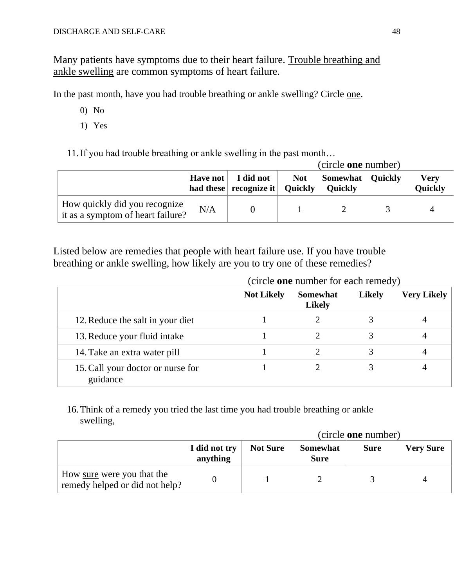Many patients have symptoms due to their heart failure. Trouble breathing and ankle swelling are common symptoms of heart failure.

In the past month, have you had trouble breathing or ankle swelling? Circle one.

- 0) No
- 1) Yes

11.If you had trouble breathing or ankle swelling in the past month…

|                                                                    |     |                                                                  | (circle <b>one</b> number) |                                               |  |                 |
|--------------------------------------------------------------------|-----|------------------------------------------------------------------|----------------------------|-----------------------------------------------|--|-----------------|
|                                                                    |     | Have not   I did not  <br>had these $ $ recognize it $ $ Quickly |                            | <b>Not</b> Somewhat Quickly<br><b>Quickly</b> |  | Verv<br>Quickly |
| How quickly did you recognize<br>it as a symptom of heart failure? | N/A |                                                                  |                            |                                               |  |                 |

Listed below are remedies that people with heart failure use. If you have trouble breathing or ankle swelling, how likely are you to try one of these remedies?

|                                               | (circle one number for each remedy) |                                  |               |                    |
|-----------------------------------------------|-------------------------------------|----------------------------------|---------------|--------------------|
|                                               | <b>Not Likely</b>                   | <b>Somewhat</b><br><b>Likely</b> | <b>Likely</b> | <b>Very Likely</b> |
| 12. Reduce the salt in your diet              |                                     |                                  |               |                    |
| 13. Reduce your fluid intake                  |                                     |                                  |               |                    |
| 14. Take an extra water pill                  |                                     |                                  |               |                    |
| 15. Call your doctor or nurse for<br>guidance |                                     |                                  |               |                    |

## 16.Think of a remedy you tried the last time you had trouble breathing or ankle swelling,

|                                                              |                           | (circle one number) |                                |             |                  |
|--------------------------------------------------------------|---------------------------|---------------------|--------------------------------|-------------|------------------|
|                                                              | I did not try<br>anything | <b>Not Sure</b>     | <b>Somewhat</b><br><b>Sure</b> | <b>Sure</b> | <b>Very Sure</b> |
| How sure were you that the<br>remedy helped or did not help? |                           |                     |                                |             |                  |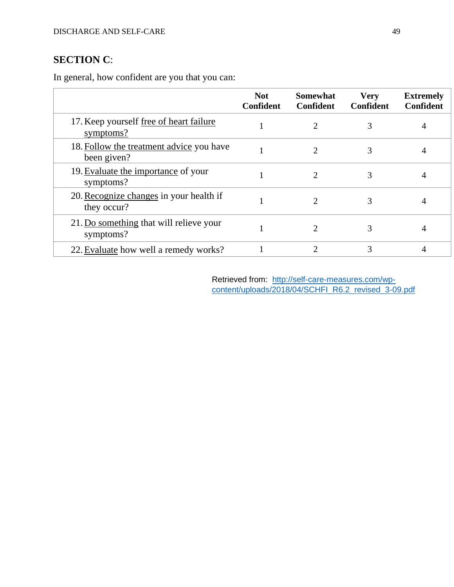# **SECTION C**:

In general, how confident are you that you can:

|                                                         | <b>Not</b><br><b>Confident</b> | <b>Somewhat</b><br>Confident | <b>Very</b><br>Confident | <b>Extremely</b><br><b>Confident</b> |
|---------------------------------------------------------|--------------------------------|------------------------------|--------------------------|--------------------------------------|
| 17. Keep yourself free of heart failure<br>symptoms?    |                                | $\mathcal{D}_{\mathcal{L}}$  |                          |                                      |
| 18. Follow the treatment advice you have<br>been given? |                                | $\mathcal{D}_{\mathcal{L}}$  | 3                        |                                      |
| 19. Evaluate the importance of your<br>symptoms?        |                                | 2                            |                          | 4                                    |
| 20. Recognize changes in your health if<br>they occur?  |                                |                              |                          |                                      |
| 21. Do something that will relieve your<br>symptoms?    |                                |                              |                          | 4                                    |
| 22. Evaluate how well a remedy works?                   |                                |                              | 3                        |                                      |

Retrieved from: [http://self-care-measures.com/wp](http://self-care-measures.com/wp-content/uploads/2018/04/SCHFI_R6.2_revised_3-09.pdf)content/uploads/2018/04/SCHFI\_R6.2\_revised\_3-09.pdf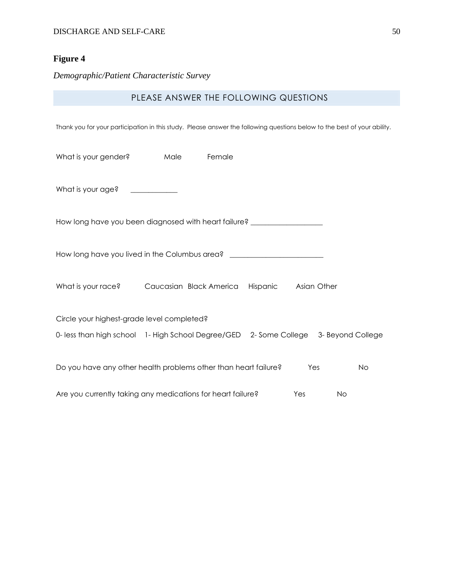*Demographic/Patient Characteristic Survey*

## PLEASE ANSWER THE FOLLOWING QUESTIONS

Thank you for your participation in this study. Please answer the following questions below to the best of your ability.

| What is your gender?                                                                 | Male | Female |                      |     |           |  |
|--------------------------------------------------------------------------------------|------|--------|----------------------|-----|-----------|--|
| What is your age? ___________                                                        |      |        |                      |     |           |  |
| How long have you been diagnosed with heart failure? ___________________________     |      |        |                      |     |           |  |
| How long have you lived in the Columbus area? __________________________________     |      |        |                      |     |           |  |
| What is your race? Caucasian Black America                                           |      |        | Hispanic Asian Other |     |           |  |
| Circle your highest-grade level completed?                                           |      |        |                      |     |           |  |
| 0- less than high school 1- High School Degree/GED 2- Some College 3- Beyond College |      |        |                      |     |           |  |
| Do you have any other health problems other than heart failure?                      |      |        |                      | Yes | <b>No</b> |  |
| Are you currently taking any medications for heart failure?                          |      |        |                      | Yes | No        |  |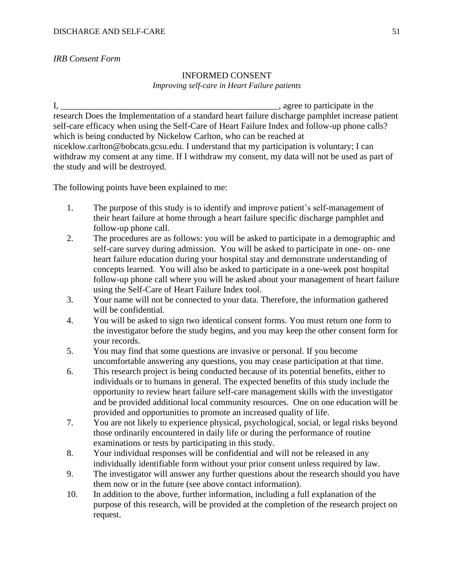## *IRB Consent Form*

## INFORMED CONSENT *Improving self-care in Heart Failure patients*

I, \_\_\_\_\_\_\_\_\_\_\_\_\_\_\_\_\_\_\_\_\_\_\_\_\_\_\_\_\_\_\_\_\_\_\_\_\_\_\_\_\_\_\_\_\_\_\_\_\_, agree to participate in the research Does the Implementation of a standard heart failure discharge pamphlet increase patient self-care efficacy when using the Self-Care of Heart Failure Index and follow-up phone calls? which is being conducted by Nickelow Carlton, who can be reached at niceklow.carlton@bobcats.gcsu.edu. I understand that my participation is voluntary; I can withdraw my consent at any time. If I withdraw my consent, my data will not be used as part of the study and will be destroyed.

The following points have been explained to me:

- 1. The purpose of this study is to identify and improve patient's self-management of their heart failure at home through a heart failure specific discharge pamphlet and follow-up phone call.
- 2. The procedures are as follows: you will be asked to participate in a demographic and self-care survey during admission. You will be asked to participate in one- on- one heart failure education during your hospital stay and demonstrate understanding of concepts learned. You will also be asked to participate in a one-week post hospital follow-up phone call where you will be asked about your management of heart failure using the Self-Care of Heart Failure Index tool.
- 3. Your name will not be connected to your data. Therefore, the information gathered will be confidential.
- 4. You will be asked to sign two identical consent forms. You must return one form to the investigator before the study begins, and you may keep the other consent form for your records.
- 5. You may find that some questions are invasive or personal. If you become uncomfortable answering any questions, you may cease participation at that time.
- 6. This research project is being conducted because of its potential benefits, either to individuals or to humans in general. The expected benefits of this study include the opportunity to review heart failure self-care management skills with the investigator and be provided additional local community resources. One on one education will be provided and opportunities to promote an increased quality of life.
- 7. You are not likely to experience physical, psychological, social, or legal risks beyond those ordinarily encountered in daily life or during the performance of routine examinations or tests by participating in this study.
- 8. Your individual responses will be confidential and will not be released in any individually identifiable form without your prior consent unless required by law.
- 9. The investigator will answer any further questions about the research should you have them now or in the future (see above contact information).
- 10. In addition to the above, further information, including a full explanation of the purpose of this research, will be provided at the completion of the research project on request.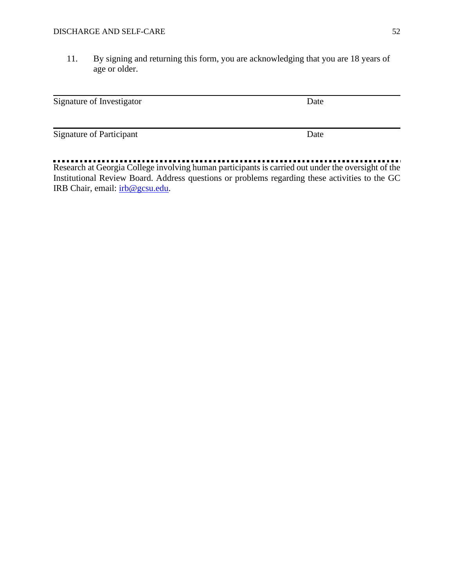11. By signing and returning this form, you are acknowledging that you are 18 years of age or older.

| Signature of Investigator       | Date |  |
|---------------------------------|------|--|
| <b>Signature of Participant</b> | Date |  |

Research at Georgia College involving human participants is carried out under the oversight of the Institutional Review Board. Address questions or problems regarding these activities to the GC IRB Chair, email: [irb@gcsu.edu.](mailto:irb@gcsu.edu)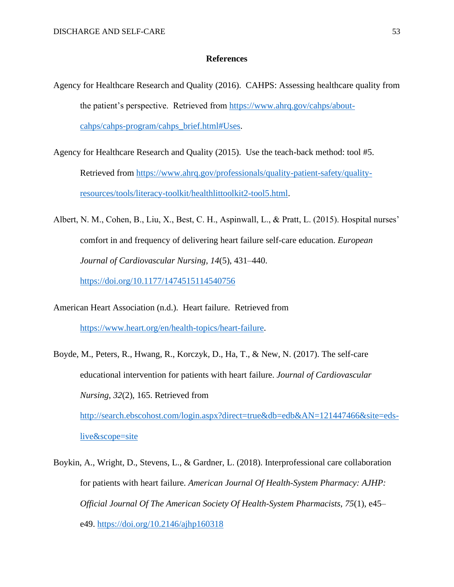#### **References**

- Agency for Healthcare Research and Quality (2016). CAHPS: Assessing healthcare quality from the patient's perspective. Retrieved from [https://www.ahrq.gov/cahps/about](https://www.ahrq.gov/cahps/about-cahps/cahps-program/cahps_brief.html#Uses)[cahps/cahps-program/cahps\\_brief.html#Uses.](https://www.ahrq.gov/cahps/about-cahps/cahps-program/cahps_brief.html#Uses)
- Agency for Healthcare Research and Quality (2015). Use the teach-back method: tool #5. Retrieved from [https://www.ahrq.gov/professionals/quality-patient-safety/quality](https://www.ahrq.gov/professionals/quality-patient-safety/quality-resources/tools/literacy-toolkit/healthlittoolkit2-tool5.html)[resources/tools/literacy-toolkit/healthlittoolkit2-tool5.html.](https://www.ahrq.gov/professionals/quality-patient-safety/quality-resources/tools/literacy-toolkit/healthlittoolkit2-tool5.html)
- Albert, N. M., Cohen, B., Liu, X., Best, C. H., Aspinwall, L., & Pratt, L. (2015). Hospital nurses' comfort in and frequency of delivering heart failure self-care education. *European Journal of Cardiovascular Nursing*, *14*(5), 431–440. <https://doi.org/10.1177/1474515114540756>

- American Heart Association (n.d.). Heart failure. Retrieved from [https://www.heart.org/en/health-topics/heart-failure.](https://www.heart.org/en/health-topics/heart-failure)
- Boyde, M., Peters, R., Hwang, R., Korczyk, D., Ha, T., & New, N. (2017). The self-care educational intervention for patients with heart failure. *Journal of Cardiovascular Nursing*, *32*(2), 165. Retrieved from

[http://search.ebscohost.com/login.aspx?direct=true&db=edb&AN=121447466&site=eds](http://search.ebscohost.com/login.aspx?direct=true&db=edb&AN=121447466&site=eds-live&scope=site)[live&scope=site](http://search.ebscohost.com/login.aspx?direct=true&db=edb&AN=121447466&site=eds-live&scope=site) 

Boykin, A., Wright, D., Stevens, L., & Gardner, L. (2018). Interprofessional care collaboration for patients with heart failure. *American Journal Of Health-System Pharmacy: AJHP: Official Journal Of The American Society Of Health-System Pharmacists*, *75*(1), e45– e49.<https://doi.org/10.2146/ajhp160318>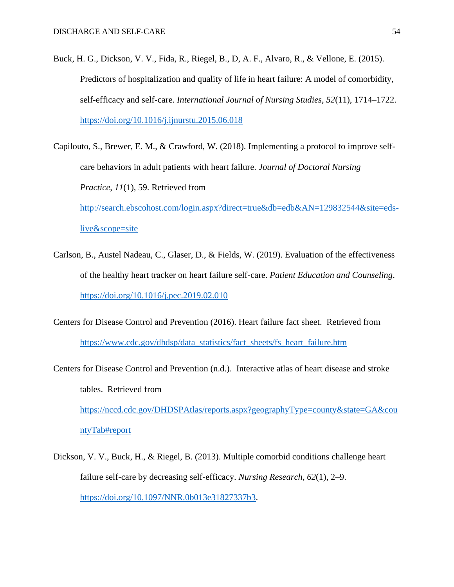- Buck, H. G., Dickson, V. V., Fida, R., Riegel, B., D, A. F., Alvaro, R., & Vellone, E. (2015). Predictors of hospitalization and quality of life in heart failure: A model of comorbidity, self-efficacy and self-care. *International Journal of Nursing Studies*, *52*(11), 1714–1722. <https://doi.org/10.1016/j.ijnurstu.2015.06.018>
- Capilouto, S., Brewer, E. M., & Crawford, W. (2018). Implementing a protocol to improve selfcare behaviors in adult patients with heart failure. *Journal of Doctoral Nursing Practice*, *11*(1), 59. Retrieved from [http://search.ebscohost.com/login.aspx?direct=true&db=edb&AN=129832544&site=eds-](http://search.ebscohost.com/login.aspx?direct=true&db=edb&AN=129832544&site=eds-live&scope=site)

[live&scope=site](http://search.ebscohost.com/login.aspx?direct=true&db=edb&AN=129832544&site=eds-live&scope=site) 

- Carlson, B., Austel Nadeau, C., Glaser, D., & Fields, W. (2019). Evaluation of the effectiveness of the healthy heart tracker on heart failure self-care. *Patient Education and Counseling*. <https://doi.org/10.1016/j.pec.2019.02.010>
- Centers for Disease Control and Prevention (2016). Heart failure fact sheet. Retrieved from [https://www.cdc.gov/dhdsp/data\\_statistics/fact\\_sheets/fs\\_heart\\_failure.htm](https://www.cdc.gov/dhdsp/data_statistics/fact_sheets/fs_heart_failure.htm)
- Centers for Disease Control and Prevention (n.d.). Interactive atlas of heart disease and stroke tables. Retrieved from [https://nccd.cdc.gov/DHDSPAtlas/reports.aspx?geographyType=county&state=GA&cou](https://nccd.cdc.gov/DHDSPAtlas/reports.aspx?geographyType=county&state=GA&countyTab#report) [ntyTab#report](https://nccd.cdc.gov/DHDSPAtlas/reports.aspx?geographyType=county&state=GA&countyTab#report)
- Dickson, V. V., Buck, H., & Riegel, B. (2013). Multiple comorbid conditions challenge heart failure self-care by decreasing self-efficacy. *Nursing Research*, *62*(1), 2–9. [https://doi.org/10.1097/NNR.0b013e31827337b3.](https://doi.org/10.1097/NNR.0b013e31827337b3)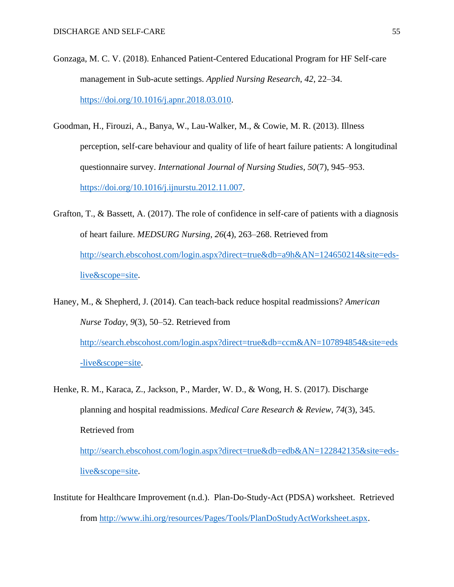- Gonzaga, M. C. V. (2018). Enhanced Patient-Centered Educational Program for HF Self-care management in Sub-acute settings. *Applied Nursing Research*, *42*, 22–34. [https://doi.org/10.1016/j.apnr.2018.03.010.](https://doi.org/10.1016/j.apnr.2018.03.010)
- Goodman, H., Firouzi, A., Banya, W., Lau-Walker, M., & Cowie, M. R. (2013). Illness perception, self-care behaviour and quality of life of heart failure patients: A longitudinal questionnaire survey. *International Journal of Nursing Studies*, *50*(7), 945–953. [https://doi.org/10.1016/j.ijnurstu.2012.11.007.](https://doi.org/10.1016/j.ijnurstu.2012.11.007)
- Grafton, T., & Bassett, A. (2017). The role of confidence in self-care of patients with a diagnosis of heart failure. *MEDSURG Nursing*, *26*(4), 263–268. Retrieved from [http://search.ebscohost.com/login.aspx?direct=true&db=a9h&AN=124650214&site=eds](http://search.ebscohost.com/login.aspx?direct=true&db=a9h&AN=124650214&site=eds-live&scope=site)[live&scope=site.](http://search.ebscohost.com/login.aspx?direct=true&db=a9h&AN=124650214&site=eds-live&scope=site)
- Haney, M., & Shepherd, J. (2014). Can teach-back reduce hospital readmissions? *American Nurse Today*, *9*(3), 50–52. Retrieved from [http://search.ebscohost.com/login.aspx?direct=true&db=ccm&AN=107894854&site=eds](http://search.ebscohost.com/login.aspx?direct=true&db=ccm&AN=107894854&site=eds-live&scope=site) [-live&scope=site.](http://search.ebscohost.com/login.aspx?direct=true&db=ccm&AN=107894854&site=eds-live&scope=site)
- Henke, R. M., Karaca, Z., Jackson, P., Marder, W. D., & Wong, H. S. (2017). Discharge planning and hospital readmissions. *Medical Care Research & Review*, *74*(3), 345. Retrieved from [http://search.ebscohost.com/login.aspx?direct=true&db=edb&AN=122842135&site=eds](http://search.ebscohost.com/login.aspx?direct=true&db=edb&AN=122842135&site=eds-live&scope=site)[live&scope=site.](http://search.ebscohost.com/login.aspx?direct=true&db=edb&AN=122842135&site=eds-live&scope=site)
- Institute for Healthcare Improvement (n.d.). Plan-Do-Study-Act (PDSA) worksheet. Retrieved from [http://www.ihi.org/resources/Pages/Tools/PlanDoStudyActWorksheet.aspx.](http://www.ihi.org/resources/Pages/Tools/PlanDoStudyActWorksheet.aspx)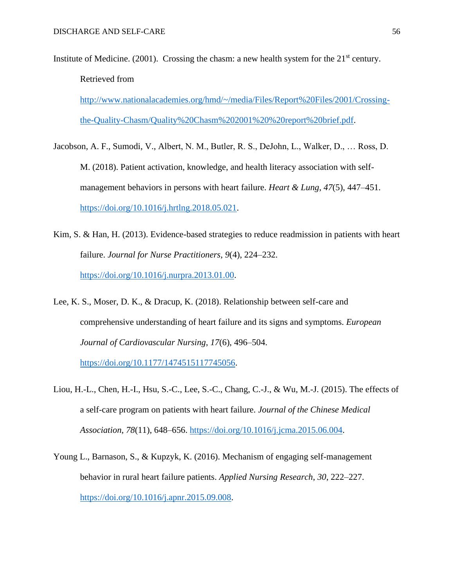Institute of Medicine. (2001). Crossing the chasm: a new health system for the  $21<sup>st</sup>$  century. Retrieved from

[http://www.nationalacademies.org/hmd/~/media/Files/Report%20Files/2001/Crossing](http://www.nationalacademies.org/hmd/~/media/Files/Report%20Files/2001/Crossing-the-Quality-Chasm/Quality%20Chasm%202001%20%20report%20brief.pdf)[the-Quality-Chasm/Quality%20Chasm%202001%20%20report%20brief.pdf.](http://www.nationalacademies.org/hmd/~/media/Files/Report%20Files/2001/Crossing-the-Quality-Chasm/Quality%20Chasm%202001%20%20report%20brief.pdf)

- Jacobson, A. F., Sumodi, V., Albert, N. M., Butler, R. S., DeJohn, L., Walker, D., … Ross, D. M. (2018). Patient activation, knowledge, and health literacy association with selfmanagement behaviors in persons with heart failure. *Heart & Lung*, *47*(5), 447–451. [https://doi.org/10.1016/j.hrtlng.2018.05.021.](https://doi.org/10.1016/j.hrtlng.2018.05.021)
- Kim, S. & Han, H. (2013). Evidence-based strategies to reduce readmission in patients with heart failure. *Journal for Nurse Practitioners*, *9*(4), 224–232. [https://doi.org/10.1016/j.nurpra.2013.01.00.](https://doi.org/10.1016/j.nurpra.2013.01.00)
- Lee, K. S., Moser, D. K., & Dracup, K. (2018). Relationship between self-care and comprehensive understanding of heart failure and its signs and symptoms. *European Journal of Cardiovascular Nursing*, *17*(6), 496–504.

[https://doi.org/10.1177/1474515117745056.](https://doi.org/10.1177/1474515117745056)

- Liou, H.-L., Chen, H.-I., Hsu, S.-C., Lee, S.-C., Chang, C.-J., & Wu, M.-J. (2015). The effects of a self-care program on patients with heart failure. *Journal of the Chinese Medical Association*, *78*(11), 648–656. [https://doi.org/10.1016/j.jcma.2015.06.004.](https://doi.org/10.1016/j.jcma.2015.06.004)
- Young L., Barnason, S., & Kupzyk, K. (2016). Mechanism of engaging self-management behavior in rural heart failure patients. *Applied Nursing Research*, *30*, 222–227. [https://doi.org/10.1016/j.apnr.2015.09.008.](https://doi.org/10.1016/j.apnr.2015.09.008)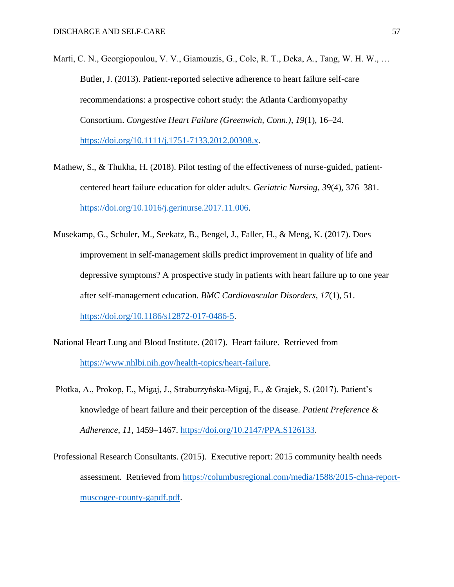- Marti, C. N., Georgiopoulou, V. V., Giamouzis, G., Cole, R. T., Deka, A., Tang, W. H. W., … Butler, J. (2013). Patient-reported selective adherence to heart failure self-care recommendations: a prospective cohort study: the Atlanta Cardiomyopathy Consortium. *Congestive Heart Failure (Greenwich, Conn.)*, *19*(1), 16–24. [https://doi.org/10.1111/j.1751-7133.2012.00308.x.](https://doi.org/10.1111/j.1751-7133.2012.00308.x)
- Mathew, S., & Thukha, H. (2018). Pilot testing of the effectiveness of nurse-guided, patientcentered heart failure education for older adults. *Geriatric Nursing*, *39*(4), 376–381. [https://doi.org/10.1016/j.gerinurse.2017.11.006.](https://doi.org/10.1016/j.gerinurse.2017.11.006)
- Musekamp, G., Schuler, M., Seekatz, B., Bengel, J., Faller, H., & Meng, K. (2017). Does improvement in self-management skills predict improvement in quality of life and depressive symptoms? A prospective study in patients with heart failure up to one year after self-management education. *BMC Cardiovascular Disorders*, *17*(1), 51. [https://doi.org/10.1186/s12872-017-0486-5.](https://doi.org/10.1186/s12872-017-0486-5)
- National Heart Lung and Blood Institute. (2017). Heart failure. Retrieved from [https://www.nhlbi.nih.gov/health-topics/heart-failure.](https://www.nhlbi.nih.gov/health-topics/heart-failure)
- Płotka, A., Prokop, E., Migaj, J., Straburzyńska-Migaj, E., & Grajek, S. (2017). Patient's knowledge of heart failure and their perception of the disease. *Patient Preference & Adherence*, *11*, 1459–1467. [https://doi.org/10.2147/PPA.S126133.](https://doi.org/10.2147/PPA.S126133)
- Professional Research Consultants. (2015). Executive report: 2015 community health needs assessment. Retrieved from [https://columbusregional.com/media/1588/2015-chna-report](https://columbusregional.com/media/1588/2015-chna-report-muscogee-county-gapdf.pdf)[muscogee-county-gapdf.pdf.](https://columbusregional.com/media/1588/2015-chna-report-muscogee-county-gapdf.pdf)